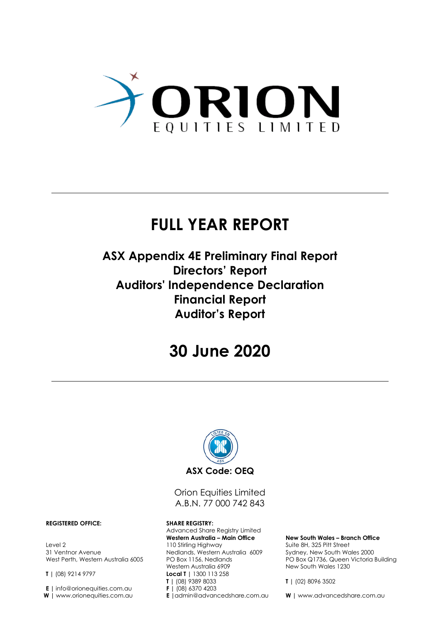

## **FULL YEAR REPORT**

### **ASX Appendix 4E Preliminary Final Report Directors' Report Auditors' Independence Declaration Financial Report Auditor's Report**

## **30 June 2020**



Orion Equities Limited A.B.N. 77 000 742 843

Advanced Share Registry Limited **Western Australia – Main Office** 110 Stirling Highway Nedlands, Western Australia 6009 PO Box 1156, Nedlands Western Australia 6909 **Local T |** 1300 113 258 **T |** (08) 9389 8033 **F |** (08) 6370 4203 **E |**admin@advancedshare.com.au

#### **New South Wales – Branch Office**

Suite 8H, 325 Pitt Street Sydney, New South Wales 2000 PO Box Q1736, Queen Victoria Building New South Wales 1230

**T |** (02) 8096 3502

**W |** www.advancedshare.com.au

#### **REGISTERED OFFICE: SHARE REGISTRY:**

Level 2 31 Ventnor Avenue West Perth, Western Australia 6005

**T |** (08) 9214 9797

**E |** info@orionequities.com.au **W |** www.orionequities.com.au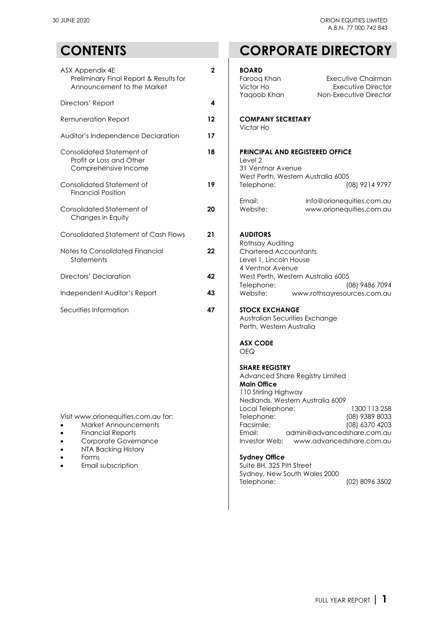| ASX Appendix 4E<br>Preliminary Final Report & Results for<br>Announcement to the Market | $\overline{2}$ | <b>BOARD</b><br>Faroog Khan<br>Victor Ho                               | Executiv<br>Execu             |
|-----------------------------------------------------------------------------------------|----------------|------------------------------------------------------------------------|-------------------------------|
| Directors' Report                                                                       | 4              | Yaqoob Khan                                                            | Non-Execu                     |
| Remuneration Report                                                                     | 12             | <b>COMPANY SECRETARY</b>                                               |                               |
| Auditor's Independence Declaration                                                      | 17             | Victor Ho                                                              |                               |
| Consolidated Statement of<br>Profit or Loss and Other<br>Comprehensive Income           | 18             | <b>PRINCIPAL AND REGISTERED OFFICE</b><br>Level 2<br>31 Ventnor Avenue |                               |
| Consolidated Statement of<br><b>Financial Position</b>                                  | 19             | West Perth, Western Australia 6005<br>Telephone:                       | (C                            |
| Consolidated Statement of<br>Changes in Equity                                          | 20             | Email:<br>Website:                                                     | info@orionequ<br>www.orionequ |
| <b>Consolidated Statement of Cash Flows</b>                                             | 21             | <b>AUDITORS</b><br>Rothsay Auditing                                    |                               |
| Notes to Consolidated Financial<br>Statements                                           | 22             | <b>Chartered Accountants</b><br>Level 1, Lincoln House                 |                               |
| Directors' Declaration                                                                  | 42             | 4 Ventnor Avenue<br>West Perth, Western Australia 6005                 |                               |
| Independent Auditor's Report                                                            | 43             | Telephone:<br>Website:                                                 | (C<br>www.rothsayresou        |
| Securities Information                                                                  | 47             | <b>STOCK EXCHANGE</b>                                                  |                               |

- [Market Announcements](http://www.orionequities.com.au/reports/2)
- [Financial Reports](http://www.orionequities.com.au/reports/6)
- [Corporate Governance](http://www.orionequities.com.au/corporate-governance)
- [NTA Backing History](http://www.orionequities.com.au/reports/10)<br>• Forms
- 
- $\bullet$  Email subscription

### **CONTENTS CORPORATE DIRECTORY**

| ASX Appendix 4E<br>Preliminary Final Report & Results for<br>Announcement to the Market<br>Directors' Report                                                                                     | $\mathbf 2$<br>4 | <b>BOARD</b><br>Faroog Khan<br>Executive Chairman<br>Victor Ho<br><b>Executive Director</b><br>Non-Executive Director<br>Yaqoob Khan                                                                                                                                                                                                                                                                                            |
|--------------------------------------------------------------------------------------------------------------------------------------------------------------------------------------------------|------------------|---------------------------------------------------------------------------------------------------------------------------------------------------------------------------------------------------------------------------------------------------------------------------------------------------------------------------------------------------------------------------------------------------------------------------------|
| Remuneration Report<br>Auditor's Independence Declaration                                                                                                                                        | $12 \,$<br>17    | <b>COMPANY SECRETARY</b><br>Victor Ho                                                                                                                                                                                                                                                                                                                                                                                           |
| Consolidated Statement of<br>Profit or Loss and Other<br>Comprehensive Income                                                                                                                    | 18               | <b>PRINCIPAL AND REGISTERED OFFICE</b><br>Level 2<br>31 Ventnor Avenue                                                                                                                                                                                                                                                                                                                                                          |
| Consolidated Statement of<br><b>Financial Position</b>                                                                                                                                           | 19               | West Perth, Western Australia 6005<br>Telephone:<br>(08) 9214 9797                                                                                                                                                                                                                                                                                                                                                              |
| Consolidated Statement of<br>Changes in Equity                                                                                                                                                   | 20               | Email:<br>info@orionequities.com.au<br>Website:<br>www.orionequities.com.au                                                                                                                                                                                                                                                                                                                                                     |
| <b>Consolidated Statement of Cash Flows</b>                                                                                                                                                      | 21               | <b>AUDITORS</b><br>Rothsay Auditing                                                                                                                                                                                                                                                                                                                                                                                             |
| Notes to Consolidated Financial<br>Statements                                                                                                                                                    | 22               | <b>Chartered Accountants</b><br>Level 1, Lincoln House<br>4 Ventnor Avenue                                                                                                                                                                                                                                                                                                                                                      |
| <b>Directors' Declaration</b>                                                                                                                                                                    | 42               | West Perth, Western Australia 6005<br>Telephone:<br>(08) 9486 7094                                                                                                                                                                                                                                                                                                                                                              |
| Independent Auditor's Report                                                                                                                                                                     | 43               | Website:<br>www.rothsayresources.com.au                                                                                                                                                                                                                                                                                                                                                                                         |
| Securities Information                                                                                                                                                                           | 47               | <b>STOCK EXCHANGE</b><br>Australian Securities Exchange<br>Perth, Western Australia<br><b>ASX CODE</b><br>OEQ<br><b>SHARE REGISTRY</b>                                                                                                                                                                                                                                                                                          |
| Visit www.orionequities.com.au for:<br><b>Market Announcements</b><br><b>Financial Reports</b><br>Corporate Governance<br><b>NTA Backing History</b><br>Forms<br>Email subscription<br>$\bullet$ |                  | Advanced Share Registry Limited<br><b>Main Office</b><br>110 Stirlina Hiahwav<br>Nedlands, Western Australia 6009<br>Local Telephone:<br>1300 113 258<br>(08) 9389 8033<br>Telephone:<br>Facsimile:<br>(08) 6370 4203<br>Email:<br>admin@advancedshare.com.au<br>Investor Web:<br>www.advancedshare.com.au<br><b>Sydney Office</b><br>Suite 8H, 325 Pitt Street<br>Sydney, New South Wales 2000<br>Telephone:<br>(02) 8096 3502 |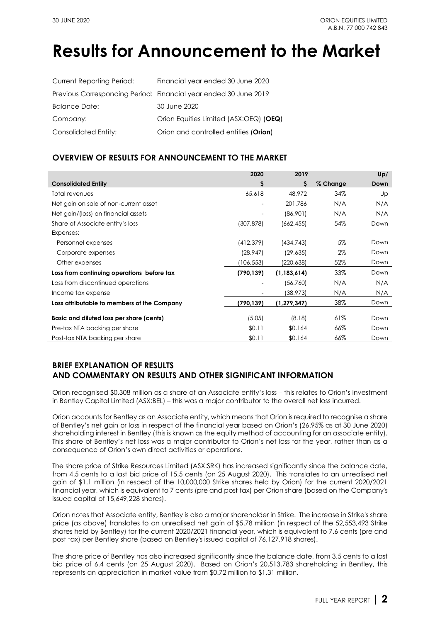## **Results for Announcement to the Market**

| <b>Current Reporting Period:</b> | Financial year ended 30 June 2020                                |
|----------------------------------|------------------------------------------------------------------|
|                                  | Previous Corresponding Period: Financial year ended 30 June 2019 |
| <b>Balance Date:</b>             | 30 June 2020                                                     |
| Company:                         | Orion Equities Limited (ASX:OEQ) (OEQ)                           |
| Consolidated Entity:             | Orion and controlled entities (Orion)                            |

### **OVERVIEW OF RESULTS FOR ANNOUNCEMENT TO THE MARKET**

|                                             | 2020                     | 2019          |          | Up/  |
|---------------------------------------------|--------------------------|---------------|----------|------|
| <b>Consolidated Entity</b>                  | \$                       | S             | % Change | Down |
| Total revenues                              | 65,618                   | 48,972        | 34%      | Up   |
| Net gain on sale of non-current asset       | $\overline{\phantom{a}}$ | 201,786       | N/A      | N/A  |
| Net gain/(loss) on financial assets         | $\overline{\phantom{a}}$ | (86,901)      | N/A      | N/A  |
| Share of Associate entity's loss            | (307, 878)               | (662, 455)    | 54%      | Down |
| Expenses:                                   |                          |               |          |      |
| Personnel expenses                          | (412,379)                | (434, 743)    | 5%       | Down |
| Corporate expenses                          | (28, 947)                | (29, 635)     | $2\%$    | Down |
| Other expenses                              | 106,553)                 | (220,638)     | 52%      | Down |
| Loss from continuing operations before tax  | (790, 139)               | (1, 183, 614) | 33%      | Down |
| Loss from discontinued operations           |                          | (56,760)      | N/A      | N/A  |
| Income tax expense                          | $\overline{\phantom{a}}$ | (38, 973)     | N/A      | N/A  |
| Loss attributable to members of the Company | (790,139)                | (1, 279, 347) | 38%      | Down |
| Basic and diluted loss per share (cents)    | (5.05)                   | (8.18)        | 61%      | Down |
| Pre-tax NTA backing per share               | \$0.11                   | \$0.164       | 66%      | Down |
| Post-tax NTA backing per share              | \$0.11                   | \$0.164       | 66%      | Down |

### **BRIEF EXPLANATION OF RESULTS AND COMMENTARY ON RESULTS AND OTHER SIGNIFICANT INFORMATION**

Orion recognised \$0.308 million as a share of an Associate entity's loss – this relates to Orion's investment in Bentley Capital Limited (ASX[:BEL\)](https://www.asx.com.au/asx/share-price-research/company/BEL) – this was a major contributor to the overall net loss incurred.

Orion accounts for Bentley as an Associate entity, which means that Orion is required to recognise a share of Bentley's net gain or loss in respect of the financial year based on Orion's (26.95% as at 30 June 2020) shareholding interest in Bentley (this is known as the equity method of accounting for an associate entity). This share of Bentley's net loss was a major contributor to Orion's net loss for the year, rather than as a consequence of Orion's own direct activities or operations.

The share price of Strike Resources Limited (ASX[:SRK\)](https://www.asx.com.au/asx/share-price-research/company/SRK) has increased significantly since the balance date, from 4.5 cents to a last bid price of 15.5 cents (on 25 August 2020). This translates to an unrealised net gain of \$1.1 million (in respect of the 10,000,000 Strike shares held by Orion) for the current 2020/2021 financial year, which is equivalent to 7 cents (pre and post tax) per Orion share (based on the Company's issued capital of 15,649,228 shares).

Orion notes that Associate entity, Bentley is also a major shareholder in Strike. The increase in Strike's share price (as above) translates to an unrealised net gain of \$5.78 million (in respect of the 52,553,493 Strike shares held by Bentley) for the current 2020/2021 financial year, which is equivalent to 7.6 cents (pre and post tax) per Bentley share (based on Bentley's issued capital of 76,127,918 shares).

The share price of Bentley has also increased significantly since the balance date, from 3.5 cents to a last bid price of 6.4 cents (on 25 August 2020). Based on Orion's 20,513,783 shareholding in Bentley, this represents an appreciation in market value from \$0.72 million to \$1.31 million.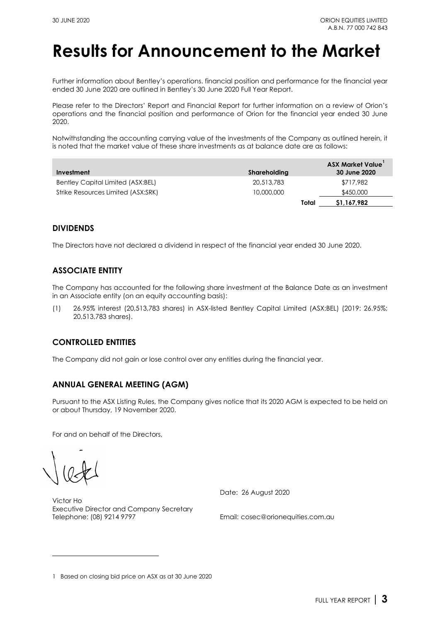## **Results for Announcement to the Market**

Further information about Bentley's operations. financial position and performance for the financial year ended 30 June 2020 are outlined in Bentley's 30 June 2020 [Full Year Report.](https://www.asx.com.au/asx/statistics/displayAnnouncement.do?display=pdf&idsId=02269382)

Please refer to the Directors' Report and Financial Report for further information on a review of Orion's operations and the financial position and performance of Orion for the financial year ended 30 June 2020.

Notwithstanding the accounting carrying value of the investments of the Company as outlined herein, it is noted that the market value of these share investments as at balance date are as follows:

| Investment                         | Shareholding | <b>ASX Market Value</b><br>30 June 2020 |
|------------------------------------|--------------|-----------------------------------------|
| Bentley Capital Limited (ASX:BEL)  | 20,513,783   | \$717,982                               |
| Strike Resources Limited (ASX:SRK) | 10,000,000   | \$450,000                               |
|                                    | Total        | \$1,167,982                             |

### **DIVIDENDS**

The Directors have not declared a dividend in respect of the financial year ended 30 June 2020.

### **ASSOCIATE ENTITY**

The Company has accounted for the following share investment at the Balance Date as an investment in an Associate entity (on an equity accounting basis):

(1) 26.95% interest (20,513,783 shares) in ASX-listed [Bentley Capital](http://www.bel.com.au/) Limited (AS[X:BEL\)](http://www.asx.com.au/asx/share-price-research/company/BEL) (2019: 26.95%; 20,513,783 shares).

### **CONTROLLED ENTITIES**

The Company did not gain or lose control over any entities during the financial year.

### **ANNUAL GENERAL MEETING (AGM)**

Pursuant to the ASX Listing Rules, the Company gives notice that its 2020 AGM is expected to be held on or about Thursday, 19 November 2020.

For and on behalf of the Directors,

Victor Ho Executive Director and Company Secretary<br>Telephone: (08) 9214 9797 Date: 26 August 2020

Email: [cosec@orionequities.com.au](mailto:cosec@orionequities.com.au)

<span id="page-3-0"></span><sup>1</sup> Based on closing bid price on ASX as at 30 June 2020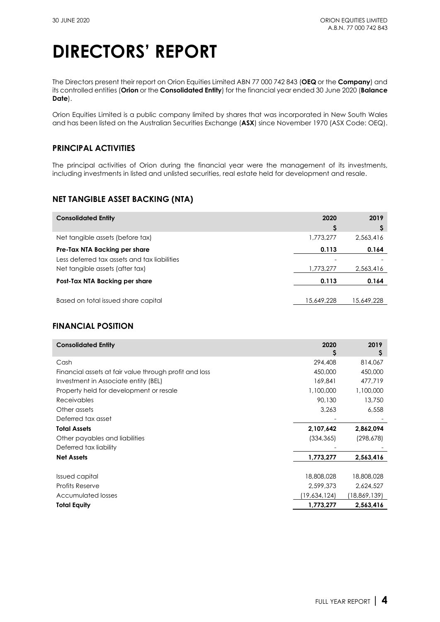The Directors present their report on Orion Equities Limited ABN 77 000 742 843 (**OEQ** or the **Company**) and its controlled entities (**Orion** or the **Consolidated Entity**) for the financial year ended 30 June 2020 (**Balance Date**).

Orion Equities Limited is a public company limited by shares that was incorporated in New South Wales and has been listed on the Australian Securities Exchange (**ASX**) since November 1970 (ASX Code: [OEQ\)](http://www.asx.com.au/asx/share-price-research/company/OEQ).

### **PRINCIPAL ACTIVITIES**

The principal activities of Orion during the financial year were the management of its investments, including investments in listed and unlisted securities, real estate held for development and resale.

### **NET TANGIBLE ASSET BACKING (NTA)**

| <b>Consolidated Entity</b>                   | 2020       | 2019       |
|----------------------------------------------|------------|------------|
|                                              | S          |            |
| Net tangible assets (before tax)             | 1,773,277  | 2.563.416  |
| Pre-Tax NTA Backing per share                | 0.113      | 0.164      |
| Less deferred tax assets and tax liabilities |            |            |
| Net tangible assets (after tax)              | 1,773,277  | 2,563,416  |
| Post-Tax NTA Backing per share               | 0.113      | 0.164      |
|                                              |            |            |
| Based on total issued share capital          | 15,649,228 | 15,649,228 |

### **FINANCIAL POSITION**

| <b>Consolidated Entity</b>                             | 2020         | 2019<br>s      |
|--------------------------------------------------------|--------------|----------------|
| Cash                                                   | 294,408      | 814,067        |
| Financial assets at fair value through profit and loss | 450,000      | 450,000        |
| Investment in Associate entity (BEL)                   | 169,841      | 477,719        |
| Property held for development or resale                | 1,100,000    | 1,100,000      |
| <b>Receivables</b>                                     | 90,130       | 13,750         |
| Other assets                                           | 3,263        | 6,558          |
| Deferred tax asset                                     |              |                |
| <b>Total Assets</b>                                    | 2,107,642    | 2,862,094      |
| Other payables and liabilities                         | (334, 365)   | (298, 678)     |
| Deferred tax liability                                 |              |                |
| <b>Net Assets</b>                                      | 1,773,277    | 2,563,416      |
|                                                        |              |                |
| <b>Issued capital</b>                                  | 18,808,028   | 18,808,028     |
| Profits Reserve                                        | 2,599,373    | 2,624,527      |
| Accumulated losses                                     | (19,634,124) | (18, 869, 139) |
| <b>Total Equity</b>                                    | 1,773,277    | 2,563,416      |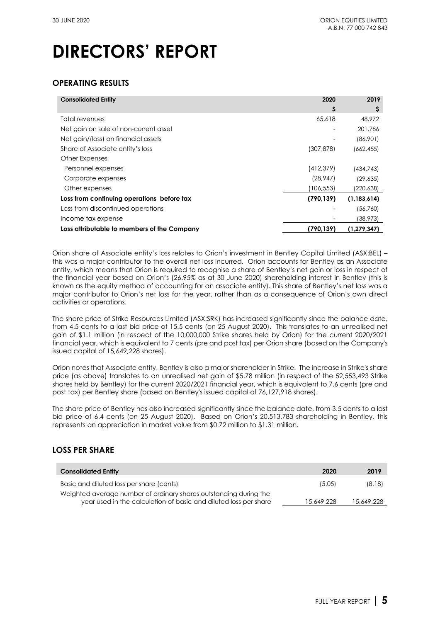### **OPERATING RESULTS**

| <b>Consolidated Entity</b>                  | 2020       | 2019          |
|---------------------------------------------|------------|---------------|
|                                             | Ş          | Ş             |
| Total revenues                              | 65,618     | 48,972        |
| Net gain on sale of non-current asset       |            | 201,786       |
| Net gain/(loss) on financial assets         |            | (86,901)      |
| Share of Associate entity's loss            | (307, 878) | (662, 455)    |
| Other Expenses                              |            |               |
| Personnel expenses                          | (412, 379) | (434, 743)    |
| Corporate expenses                          | (28, 947)  | (29, 635)     |
| Other expenses                              | (106,553)  | (220, 638)    |
| Loss from continuing operations before tax  | (790, 139) | (1, 183, 614) |
| Loss from discontinued operations           |            | (56, 760)     |
| Income tax expense                          |            | (38, 973)     |
| Loss attributable to members of the Company | (790,139)  | (1, 279, 347) |

Orion share of Associate entity's loss relates to Orion's investment in Bentley Capital Limited (AS[X:BEL\)](https://www.asx.com.au/asx/share-price-research/company/BEL) – this was a major contributor to the overall net loss incurred. Orion accounts for Bentley as an Associate entity, which means that Orion is required to recognise a share of Bentley's net gain or loss in respect of the financial year based on Orion's (26.95% as at 30 June 2020) shareholding interest in Bentley (this is known as the equity method of accounting for an associate entity). This share of Bentley's net loss was a major contributor to Orion's net loss for the year, rather than as a consequence of Orion's own direct activities or operations.

The share price of Strike Resources Limited (ASX[:SRK\)](https://www.asx.com.au/asx/share-price-research/company/SRK) has increased significantly since the balance date, from 4.5 cents to a last bid price of 15.5 cents (on 25 August 2020). This translates to an unrealised net gain of \$1.1 million (in respect of the 10,000,000 Strike shares held by Orion) for the current 2020/2021 financial year, which is equivalent to 7 cents (pre and post tax) per Orion share (based on the Company's issued capital of 15,649,228 shares).

Orion notes that Associate entity, Bentley is also a major shareholder in Strike. The increase in Strike's share price (as above) translates to an unrealised net gain of \$5.78 million (in respect of the 52,553,493 Strike shares held by Bentley) for the current 2020/2021 financial year, which is equivalent to 7.6 cents (pre and post tax) per Bentley share (based on Bentley's issued capital of 76,127,918 shares).

The share price of Bentley has also increased significantly since the balance date, from 3.5 cents to a last bid price of 6.4 cents (on 25 August 2020). Based on Orion's 20,513,783 shareholding in Bentley, this represents an appreciation in market value from \$0.72 million to \$1.31 million.

### **LOSS PER SHARE**

| <b>Consolidated Entity</b>                                                                                                            | 2020       | 2019       |
|---------------------------------------------------------------------------------------------------------------------------------------|------------|------------|
| Basic and diluted loss per share (cents)                                                                                              | (5.05)     | (8.18)     |
| Weighted average number of ordinary shares outstanding during the<br>year used in the calculation of basic and diluted loss per share | 15,649,228 | 15,649,228 |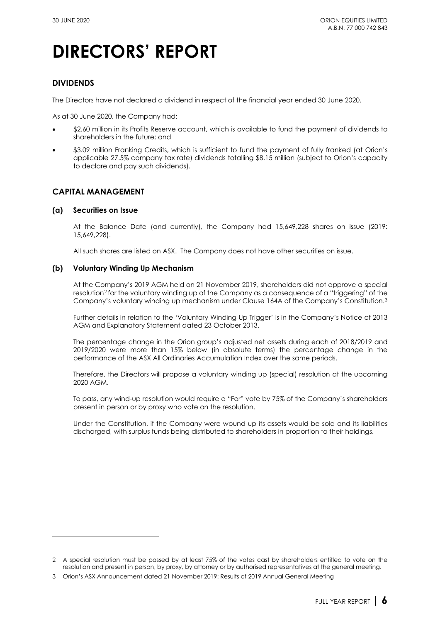### **DIVIDENDS**

The Directors have not declared a dividend in respect of the financial year ended 30 June 2020.

As at 30 June 2020, the Company had:

- \$2.60 million in its Profits Reserve account, which is available to fund the payment of dividends to shareholders in the future; and
- \$3.09 million Franking Credits, which is sufficient to fund the payment of fully franked (at Orion's applicable 27.5% company tax rate) dividends totalling \$8.15 million (subject to Orion's capacity to declare and pay such dividends).

### **CAPITAL MANAGEMENT**

#### **(a) Securities on Issue**

At the Balance Date (and currently), the Company had 15,649,228 shares on issue (2019: 15,649,228).

All such shares are listed on ASX. The Company does not have other securities on issue.

#### **(b) Voluntary Winding Up Mechanism**

At the Company's [2019 AGM](https://www.asx.com.au/asx/statistics/displayAnnouncement.do?display=pdf&idsId=02162908) held on [21 November 2019,](https://www.asx.com.au/asx/statistics/displayAnnouncement.do?display=pdf&idsId=02175858) shareholders did not approve a special resolution<sup>[2](#page-6-0)</sup> for the voluntary winding up of the Company as a consequence of a "triggering" of the Company's voluntary winding up mechanism under [Clause 164A of the Company's Constitution.](http://www.orionequities.com.au/sites/default/files/20131211%20OEQ%20ASIC%20Constitution%20-%20Amended%20signed.pdf)[3](#page-6-1)

Further details in relation to the 'Voluntary Winding Up Trigger' is in the Company's [Notice of 2013](http://www.orionequities.com.au/sites/default/files/20131030%20OEQ%20ASX%202013%20Notice%20of%20AGM%20and%20Proxy%20Form.pdf)  [AGM and Explanatory Statement dated 23 October 2013.](http://www.orionequities.com.au/sites/default/files/20131030%20OEQ%20ASX%202013%20Notice%20of%20AGM%20and%20Proxy%20Form.pdf)

The percentage change in the Orion group's adjusted net assets during each of 2018/2019 and 2019/2020 were more than 15% below (in absolute terms) the percentage change in the performance of the ASX All Ordinaries Accumulation Index over the same periods.

Therefore, the Directors will propose a voluntary winding up (special) resolution at the upcoming 2020 AGM.

To pass, any wind-up resolution would require a "For" vote by 75% of the Company's shareholders present in person or by proxy who vote on the resolution.

Under the [Constitution,](http://www.orionequities.com.au/sites/default/files/20131211%20OEQ%20ASIC%20Constitution%20-%20Amended%20signed.pdf) if the Company were wound up its assets would be sold and its liabilities discharged, with surplus funds being distributed to shareholders in proportion to their holdings.

<span id="page-6-0"></span><sup>2</sup> A special resolution must be passed by at least 75% of the votes cast by shareholders entitled to vote on the resolution and present in person, by proxy, by attorney or by authorised representatives at the general meeting.

<span id="page-6-1"></span><sup>3</sup> Orion's ASX Announcement dated [21 November 2019: Results of 2019 Annual General Meeting](https://www.asx.com.au/asxpdf/20191121/pdf/44bt99g03wc983.pdf)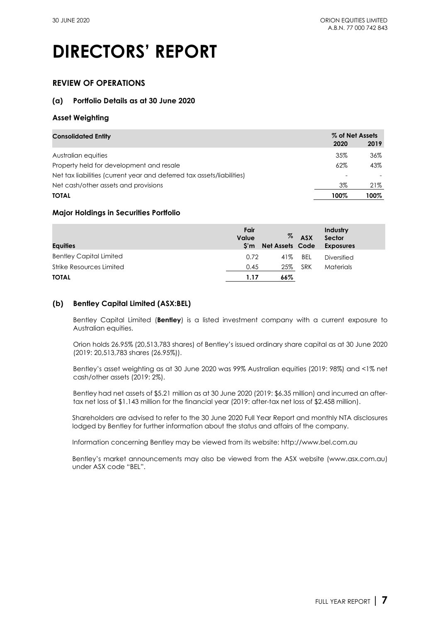### **REVIEW OF OPERATIONS**

### **(a) Portfolio Details as at 30 June 2020**

### **Asset Weighting**

| <b>Consolidated Entity</b>                                             | % of Net Assets |      |
|------------------------------------------------------------------------|-----------------|------|
|                                                                        | 2020            | 2019 |
| Australian equities                                                    | 35%             | 36%  |
| Property held for development and resale                               | 62%             | 43%  |
| Net tax liabilities (current year and deferred tax assets/liabilities) |                 |      |
| Net cash/other assets and provisions                                   | 3%              | 21%  |
| <b>TOTAL</b>                                                           | 100%            | 100% |

### **Major Holdings in Securities Portfolio**

| <b>Equities</b>                | Fair<br>Value<br>S'm | %<br><b>Net Assets Code</b> | <b>ASX</b> | Industry<br>Sector<br><b>Exposures</b> |
|--------------------------------|----------------------|-----------------------------|------------|----------------------------------------|
| <b>Bentley Capital Limited</b> | 0.72                 | 41%                         | BEL        | Diversified                            |
| Strike Resources Limited       | 0.45                 | 25%                         | <b>SRK</b> | <b>Materials</b>                       |
| <b>TOTAL</b>                   | 1.17                 | 66%                         |            |                                        |

### **(b) Bentley Capital Limited (ASX[:BEL\)](http://www.asx.com.au/asx/share-price-research/company/BEL)**

Bentley Capital Limited (**Bentley**) is a listed investment company with a current exposure to Australian equities.

Orion holds 26.95% (20,513,783 shares) of Bentley's issued ordinary share capital as at 30 June 2020 (2019: 20,513,783 shares (26.95%)).

Bentley's asset weighting as at 30 June 2020 was 99% Australian equities (2019: 98%) and <1% net cash/other assets (2019: 2%).

Bentley had net assets of \$5.21 million as at 30 June 2020 (2019: \$6.35 million) and incurred an aftertax net loss of \$1.143 million for the financial year (2019: after-tax net loss of \$2.458 million).

Shareholders are advised to refer to the 30 June 2020 Full Year Report and monthly NTA disclosures lodged by Bentley for further information about the status and affairs of the company.

Information concerning Bentley may be viewed from its website[: http://www.bel.com.au](http://www.bel.com.au/) 

Bentley's market announcements may also be viewed from the ASX website (www.asx.com.au) under ASX code ["BEL"](http://www.asx.com.au/asx/share-price-research/company/BEL).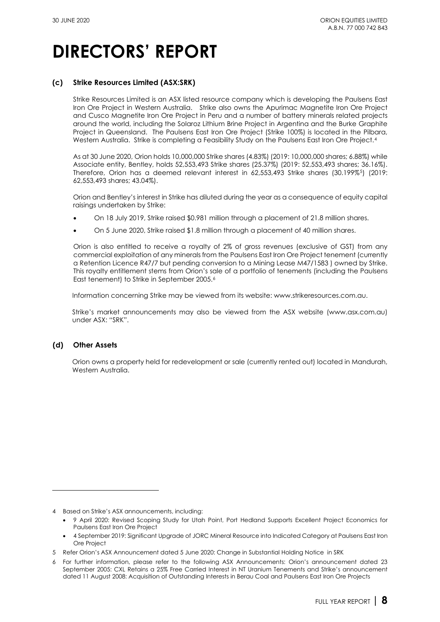### **(c) Strike Resources Limited (ASX[:SRK\)](http://www.asx.com.au/asx/share-price-research/company/SRK)**

Strike [Resources](http://strikeresources.com.au/) Limited is an ASX listed resource company which is developing the [Paulsens](http://strikeresources.com.au/projects/paulsens-east-iron-ore-project/) East Iron Ore [Project](http://strikeresources.com.au/projects/paulsens-east-iron-ore-project/) in Western Australia. Strike also owns the Apurimac [Magnetite](http://strikeresources.com.au/projects/apurimac-iron-ore-project/) Iron Ore Project and Cusco [Magnetite](http://strikeresources.com.au/projects/cusco-iron-ore/) Iron Ore Project in Peru and a number of battery minerals related projects around the world, including the [Solaroz](http://strikeresources.com.au/projects/solaroz-lithium-brine-project/) Lithium Brine Project in Argentina and the [Burke Graphite](http://strikeresources.com.au/projects/burke-graphite-project/)  [Project](http://strikeresources.com.au/projects/burke-graphite-project/) in Queensland. The [Paulsens East Iron Ore Project](http://strikeresources.com.au/projects/paulsens-east-iron-ore-project/) (Strike 100%) is located in the Pilbara, Western Australia. Strike is completing a Feasibility Study on the Paulsens East Iron Ore Project.<sup>[4](#page-8-0)</sup>

As at 30 June 2020, Orion holds 10,000,000 Strike shares (4.83%) (2019: 10,000,000 shares; 6.88%) while Associate entity, Bentley, holds 52,553,493 Strike shares (25.37%) (2019: 52,553,493 shares; 36.16%). Therefore, Orion has a deemed relevant interest in 62,553,493 Strike shares (30.199%<sup>5</sup>) (2019: 62,553,493 shares; 43.04%).

Orion and Bentley's interest in Strike has diluted during the year as a consequence of equity capital raisings undertaken by Strike:

- On 18 July 2019, Strike raised \$0.981 million through a placement of 21.8 million shares.
- On 5 June 2020, Strike raised \$1.8 million through a placement of 40 million shares.

Orion is also entitled to receive a royalty of 2% of gross revenues (exclusive of GST) from any commercial exploitation of any minerals from th[e Paulsens East Iron Ore Project](http://strikeresources.com.au/projects/paulsens-east-iron-ore-project/) tenement (currently a Retention Licence R47/7 but pending conversion to a Mining Lease M47/1583 ) owned by Strike. This royalty entitlement stems from Orion's sale of a portfolio of tenements (including the Paulsens East tenement) to Strike in September 2005.[6](#page-8-2) 

Information concerning Strike may be viewed from its website: www.strikeresources.com.au.

Strike's market announcements may also be viewed from the ASX website (www.asx.com.au) under ASX: ["SRK"](https://www.asx.com.au/asx/share-price-research/company/SRK).

### **(d) Other Assets**

Orion owns a property held for redevelopment or sale (currently rented out) located in Mandurah, Western Australia.

<span id="page-8-0"></span><sup>4</sup> Based on Strike's ASX announcements, including:

<sup>•</sup> [9 April 2020: Revised Scoping Study for Utah Point, Port Hedland Supports Excellent Project Economics for](https://www.asx.com.au/asx/statistics/displayAnnouncement.do?display=pdf&idsId=02223933)  [Paulsens East Iron Ore Project](https://www.asx.com.au/asx/statistics/displayAnnouncement.do?display=pdf&idsId=02223933)

<sup>•</sup> [4 September 2019: Significant Upgrade of JORC Mineral Resource into Indicated Category at Paulsens East Iron](https://www.asx.com.au/asxpdf/20190904/pdf/44879r39rx200g.pdf)  [Ore Project](https://www.asx.com.au/asxpdf/20190904/pdf/44879r39rx200g.pdf)

<span id="page-8-1"></span><sup>5</sup> Refer Orion's ASX Announcement dated [5 June 2020: Change in Substantial Holding Notice in SRK](https://www.asx.com.au/asx/statistics/displayAnnouncement.do?display=pdf&idsId=02242339)

<span id="page-8-2"></span><sup>6</sup> For further information, please refer to the following ASX Announcements: Orion's announcement dated [23](https://www.asx.com.au/asx/statistics/displayAnnouncement.do?display=pdf&idsId=00550876)  [September 2005: CXL Retains a 25% Free Carried Interest in NT Uranium Tenements](https://www.asx.com.au/asx/statistics/displayAnnouncement.do?display=pdf&idsId=00550876) and Strike's announcement date[d 11 August 2008: Acquisition of Outstanding Interests in Berau Coal and Paulsens East Iron Ore Projects](https://www.asx.com.au/asx/statistics/displayAnnouncement.do?display=pdf&idsId=00868344)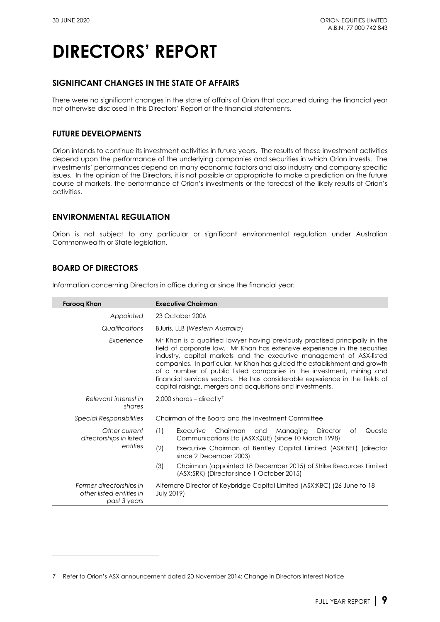### **SIGNIFICANT CHANGES IN THE STATE OF AFFAIRS**

There were no significant changes in the state of affairs of Orion that occurred during the financial year not otherwise disclosed in this Directors' Report or the financial statements.

### **FUTURE DEVELOPMENTS**

Orion intends to continue its investment activities in future years. The results of these investment activities depend upon the performance of the underlying companies and securities in which Orion invests. The investments' performances depend on many economic factors and also industry and company specific issues. In the opinion of the Directors, it is not possible or appropriate to make a prediction on the future course of markets, the performance of Orion's investments or the forecast of the likely results of Orion's activities.

### **ENVIRONMENTAL REGULATION**

Orion is not subject to any particular or significant environmental regulation under Australian Commonwealth or State legislation.

### **BOARD OF DIRECTORS**

Information concerning Directors in office during or since the financial year:

| Faroog Khan                                                         | <b>Executive Chairman</b>                                                                                                                                                                                                                                                                                                                                                                                                                                                                                                             |
|---------------------------------------------------------------------|---------------------------------------------------------------------------------------------------------------------------------------------------------------------------------------------------------------------------------------------------------------------------------------------------------------------------------------------------------------------------------------------------------------------------------------------------------------------------------------------------------------------------------------|
| Appointed                                                           | 23 October 2006                                                                                                                                                                                                                                                                                                                                                                                                                                                                                                                       |
| Qualifications                                                      | BJuris, LLB (Western Australia)                                                                                                                                                                                                                                                                                                                                                                                                                                                                                                       |
| Experience                                                          | Mr Khan is a qualified lawyer having previously practised principally in the<br>field of corporate law. Mr Khan has extensive experience in the securities<br>industry, capital markets and the executive management of ASX-listed<br>companies. In particular, Mr Khan has guided the establishment and growth<br>of a number of public listed companies in the investment, mining and<br>financial services sectors. He has considerable experience in the fields of<br>capital raisings, mergers and acquisitions and investments. |
| Relevant interest in<br>shares                                      | $2,000$ shares – directly?                                                                                                                                                                                                                                                                                                                                                                                                                                                                                                            |
| <b>Special Responsibilities</b>                                     | Chairman of the Board and the Investment Committee                                                                                                                                                                                                                                                                                                                                                                                                                                                                                    |
| Other current<br>directorships in listed                            | (1)<br>Chairman<br>Director<br>Queste<br>Executive<br>and<br>Managing<br>of<br>Communications Ltd (ASX:QUE) (since 10 March 1998)                                                                                                                                                                                                                                                                                                                                                                                                     |
| entities                                                            | (2)<br>Executive Chairman of Bentley Capital Limited (ASX:BEL) (director<br>since 2 December 2003)                                                                                                                                                                                                                                                                                                                                                                                                                                    |
|                                                                     | (3)<br>Chairman (appointed 18 December 2015) of Strike Resources Limited<br>(ASX:SRK) (Director since 1 October 2015)                                                                                                                                                                                                                                                                                                                                                                                                                 |
| Former directorships in<br>other listed entities in<br>past 3 years | Alternate Director of Keybridge Capital Limited (ASX:KBC) (26 June to 18<br><b>July 2019)</b>                                                                                                                                                                                                                                                                                                                                                                                                                                         |

<span id="page-9-0"></span><sup>7</sup> Refer to Orion's ASX announcement dated [20 November 2014: Change in Directors Interest Notice](http://orionequities.com.au/sites/default/files/20141120%20OEQ%20Appendix%203Y%20-%20Change%20of%20Directors%20Interest%20Notice%20-%20F%20Khan.pdf)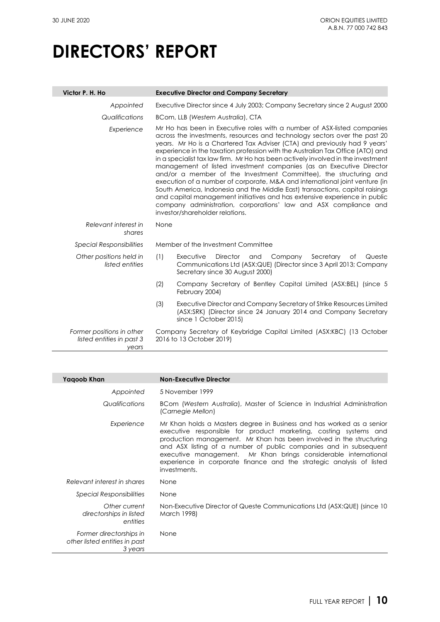| Victor P. H. Ho                                                 | <b>Executive Director and Company Secretary</b>                                                                                                                                                                                                                                                                                                                                                                                                                                                                                                                                                                                                                                                                                                                                                                                                                                                        |
|-----------------------------------------------------------------|--------------------------------------------------------------------------------------------------------------------------------------------------------------------------------------------------------------------------------------------------------------------------------------------------------------------------------------------------------------------------------------------------------------------------------------------------------------------------------------------------------------------------------------------------------------------------------------------------------------------------------------------------------------------------------------------------------------------------------------------------------------------------------------------------------------------------------------------------------------------------------------------------------|
| Appointed                                                       | Executive Director since 4 July 2003; Company Secretary since 2 August 2000                                                                                                                                                                                                                                                                                                                                                                                                                                                                                                                                                                                                                                                                                                                                                                                                                            |
| Qualifications                                                  | BCom, LLB (Western Australia), CTA                                                                                                                                                                                                                                                                                                                                                                                                                                                                                                                                                                                                                                                                                                                                                                                                                                                                     |
| Experience                                                      | Mr Ho has been in Executive roles with a number of ASX-listed companies<br>across the investments, resources and technology sectors over the past 20<br>years. Mr Ho is a Chartered Tax Adviser (CTA) and previously had 9 years'<br>experience in the taxation profession with the Australian Tax Office (ATO) and<br>in a specialist tax law firm. Mr Ho has been actively involved in the investment<br>management of listed investment companies (as an Executive Director<br>and/or a member of the Investment Committee), the structuring and<br>execution of a number of corporate, M&A and international joint venture (in<br>South America, Indonesia and the Middle East) transactions, capital raisings<br>and capital management initiatives and has extensive experience in public<br>company administration, corporations' law and ASX compliance and<br>investor/shareholder relations. |
| Relevant interest in<br>shares                                  | None                                                                                                                                                                                                                                                                                                                                                                                                                                                                                                                                                                                                                                                                                                                                                                                                                                                                                                   |
| <b>Special Responsibilities</b>                                 | Member of the Investment Committee                                                                                                                                                                                                                                                                                                                                                                                                                                                                                                                                                                                                                                                                                                                                                                                                                                                                     |
| Other positions held in<br>listed entities                      | (1)<br><b>Director</b><br>Company<br>Secretary<br>Executive<br>and<br>of<br>Queste<br>Communications Ltd (ASX:QUE) (Director since 3 April 2013; Company<br>Secretary since 30 August 2000)                                                                                                                                                                                                                                                                                                                                                                                                                                                                                                                                                                                                                                                                                                            |
|                                                                 | (2)<br>Company Secretary of Bentley Capital Limited (ASX:BEL) (since 5<br>February 2004)                                                                                                                                                                                                                                                                                                                                                                                                                                                                                                                                                                                                                                                                                                                                                                                                               |
|                                                                 | (3)<br>Executive Director and Company Secretary of Strike Resources Limited<br>(ASX:SRK) (Director since 24 January 2014 and Company Secretary<br>since 1 October 2015)                                                                                                                                                                                                                                                                                                                                                                                                                                                                                                                                                                                                                                                                                                                                |
| Former positions in other<br>listed entities in past 3<br>years | Company Secretary of Keybridge Capital Limited (ASX:KBC) (13 October<br>2016 to 13 October 2019)                                                                                                                                                                                                                                                                                                                                                                                                                                                                                                                                                                                                                                                                                                                                                                                                       |

| Yaqoob Khan                                                         | <b>Non-Executive Director</b>                                                                                                                                                                                                                                                                                                                                                                                                                    |
|---------------------------------------------------------------------|--------------------------------------------------------------------------------------------------------------------------------------------------------------------------------------------------------------------------------------------------------------------------------------------------------------------------------------------------------------------------------------------------------------------------------------------------|
| Appointed                                                           | 5 November 1999                                                                                                                                                                                                                                                                                                                                                                                                                                  |
| Qualifications                                                      | BCom (Western Australia), Master of Science in Industrial Administration<br>(Carnegie Mellon)                                                                                                                                                                                                                                                                                                                                                    |
| Experience                                                          | Mr Khan holds a Masters degree in Business and has worked as a senior<br>executive responsible for product marketing, costing systems and<br>production management. Mr Khan has been involved in the structuring<br>and ASX listing of a number of public companies and in subsequent<br>executive management. Mr Khan brings considerable international<br>experience in corporate finance and the strategic analysis of listed<br>investments. |
| Relevant interest in shares                                         | None                                                                                                                                                                                                                                                                                                                                                                                                                                             |
| <i>Special Responsibilities</i>                                     | None                                                                                                                                                                                                                                                                                                                                                                                                                                             |
| Other current<br>directorships in listed<br>entities                | Non-Executive Director of Queste Communications Ltd (ASX:QUE) (since 10<br>March 1998)                                                                                                                                                                                                                                                                                                                                                           |
| Former directorships in<br>other listed entities in past<br>3 years | None                                                                                                                                                                                                                                                                                                                                                                                                                                             |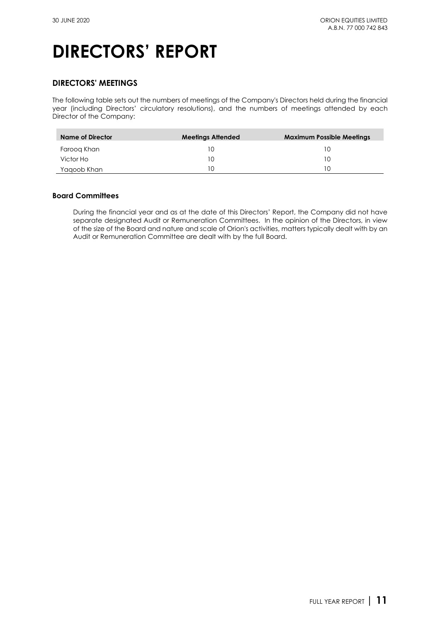### **DIRECTORS' MEETINGS**

The following table sets out the numbers of meetings of the Company's Directors held during the financial year (including Directors' circulatory resolutions), and the numbers of meetings attended by each Director of the Company:

| Name of Director | <b>Meetings Attended</b> | <b>Maximum Possible Meetings</b> |
|------------------|--------------------------|----------------------------------|
| Faroog Khan      | 10                       | l ( )                            |
| Victor Ho        | 10                       | ח ו                              |
| Yaqoob Khan      | 10                       |                                  |

### **Board Committees**

During the financial year and as at the date of this Directors' Report, the Company did not have separate designated Audit or Remuneration Committees. In the opinion of the Directors, in view of the size of the Board and nature and scale of Orion's activities, matters typically dealt with by an Audit or Remuneration Committee are dealt with by the full Board.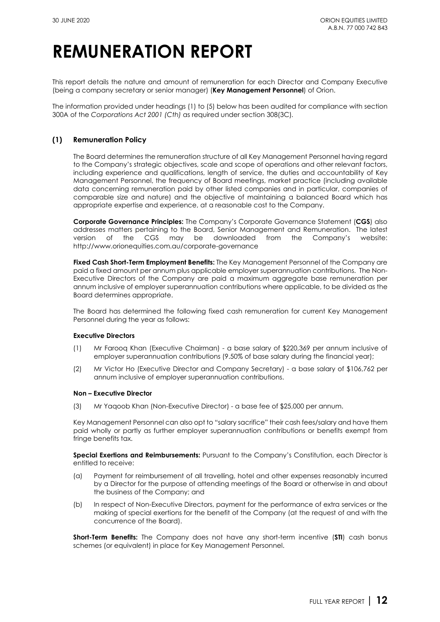## **REMUNERATION REPORT**

This report details the nature and amount of remuneration for each Director and Company Executive (being a company secretary or senior manager) (**Key Management Personnel**) of Orion.

The information provided under headings (1) to (5) below has been audited for compliance with [section](http://www.austlii.edu.au/au/legis/cth/consol_act/ca2001172/s300a.html)  [300A](http://www.austlii.edu.au/au/legis/cth/consol_act/ca2001172/s300a.html) of the *Corporations Act 2001 (Cth)* as required under [section 308\(3C\)](http://www.austlii.edu.au/au/legis/cth/consol_act/ca2001172/s308.html)*.*

### **(1) Remuneration Policy**

The Board determines the remuneration structure of all Key Management Personnel having regard to the Company's strategic objectives, scale and scope of operations and other relevant factors, including experience and qualifications, length of service, the duties and accountability of Key Management Personnel, the frequency of Board meetings, market practice (including available data concerning remuneration paid by other listed companies and in particular, companies of comparable size and nature) and the objective of maintaining a balanced Board which has appropriate expertise and experience, at a reasonable cost to the Company.

**Corporate Governance Principles:** The Company's Corporate Governance Statement (**CGS**) also addresses matters pertaining to the Board, Senior Management and Remuneration. The latest version of the CGS may be downloaded from the Company's website: <http://www.orionequities.com.au/corporate-governance>

**Fixed Cash Short-Term Employment Benefits:** The Key Management Personnel of the Company are paid a fixed amount per annum plus applicable employer superannuation contributions. The Non-Executive Directors of the Company are paid a maximum aggregate base remuneration per annum inclusive of employer superannuation contributions where applicable, to be divided as the Board determines appropriate.

The Board has determined the following fixed cash remuneration for current Key Management Personnel during the year as follows:

#### **Executive Directors**

- (1) Mr Farooq Khan (Executive Chairman) a base salary of \$220,369 per annum inclusive of employer superannuation contributions (9.50% of base salary during the financial year);
- (2) Mr Victor Ho (Executive Director and Company Secretary) a base salary of \$106,762 per annum inclusive of employer superannuation contributions.

#### **Non – Executive Director**

(3) Mr Yaqoob Khan (Non-Executive Director) - a base fee of \$25,000 per annum.

Key Management Personnel can also opt to "salary sacrifice" their cash fees/salary and have them paid wholly or partly as further employer superannuation contributions or benefits exempt from fringe benefits tax.

**Special Exertions and Reimbursements:** Pursuant to the Company's [Constitution,](http://www.orionequities.com.au/sites/default/files/20131211%20OEQ%20ASIC%20Constitution%20-%20Amended%20signed.pdf) each Director is entitled to receive:

- (a) Payment for reimbursement of all travelling, hotel and other expenses reasonably incurred by a Director for the purpose of attending meetings of the Board or otherwise in and about the business of the Company; and
- (b) In respect of Non-Executive Directors, payment for the performance of extra services or the making of special exertions for the benefit of the Company (at the request of and with the concurrence of the Board).

**Short-Term Benefits:** The Company does not have any short-term incentive (**STI**) cash bonus schemes (or equivalent) in place for Key Management Personnel.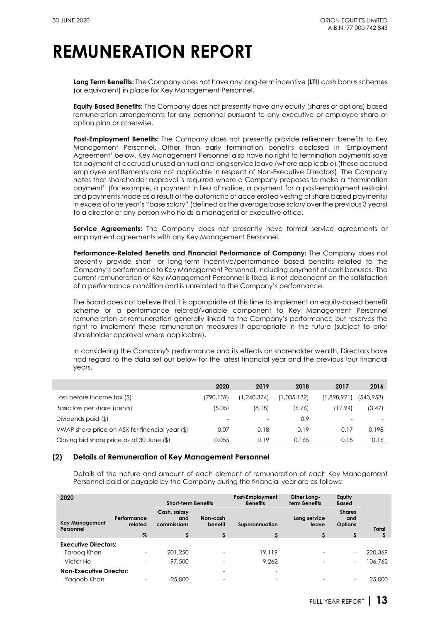## **REMUNERATION REPORT**

**Long Term Benefits:** The Company does not have any long-term incentive (**LTI**) cash bonus schemes (or equivalent) in place for Key Management Personnel.

**Equity Based Benefits:** The Company does not presently have any equity (shares or options) based remuneration arrangements for any personnel pursuant to any executive or employee share or option plan or otherwise.

**Post-Employment Benefits:** The Company does not presently provide retirement benefits to Key Management Personnel. Other than early termination benefits disclosed in 'Employment Agreement' below, Key Management Personnel also have no right to termination payments save for payment of accrued unused annual and long service leave (where applicable) (these accrued employee entitlements are not applicable in respect of Non-Executive Directors). The Company notes that shareholder approval is required where a Company proposes to make a "termination payment" (for example, a payment in lieu of notice, a payment for a post-employment restraint and payments made as a result of the automatic or accelerated vesting of share based payments) in excess of one year's "base salary" (defined as the average base salary over the previous 3 years) to a director or any person who holds a managerial or executive office.

**Service Agreements:** The Company does not presently have formal service agreements or employment agreements with any Key Management Personnel.

**Performance-Related Benefits and Financial Performance of Company:** The Company does not presently provide short- or long-term incentive/performance based benefits related to the Company's performance to Key Management Personnel, including payment of cash bonuses. The current remuneration of Key Management Personnel is fixed, is not dependent on the satisfaction of a performance condition and is unrelated to the Company's performance.

The Board does not believe that it is appropriate at this time to implement an equity-based benefit scheme or a performance related/variable component to Key Management Personnel remuneration or remuneration generally linked to the Company's performance but reserves the right to implement these remuneration measures if appropriate in the future (subject to prior shareholder approval where applicable).

In considering the Company's performance and its effects on shareholder wealth, Directors have had regard to the data set out below for the latest financial year and the previous four financial years.

|                                                 | 2020                     | 2019          | 2018        | 2017        | 2016      |
|-------------------------------------------------|--------------------------|---------------|-------------|-------------|-----------|
| Loss before income tax (\$)                     | (790, 139)               | (1, 240, 374) | (1.035.132) | (1,898,921) | (543,953) |
| Basic loss per share (cents)                    | (5.05)                   | (8.18)        | (6.76)      | (12.94)     | (3.47)    |
| Dividends paid (\$)                             | $\overline{\phantom{0}}$ |               | 0.9         |             |           |
| VWAP share price on ASX for financial year (\$) | 0.07                     | 0.18          | 0.19        | 0.17        | 0.198     |
| Closing bid share price as at 30 June (\$)      | 0.055                    | 0.19          | 0.165       | 0.15        | 0.16      |

### **(2) Details of Remuneration of Key Management Personnel**

Details of the nature and amount of each element of remuneration of each Key Management Personnel paid or payable by the Company during the financial year are as follows:

| 2020                               |                          | <b>Short-term Benefits</b>         |                          | Post-Employment<br><b>Benefits</b> | Other Long-<br>term Benefits | Equity<br><b>Based</b>          |              |
|------------------------------------|--------------------------|------------------------------------|--------------------------|------------------------------------|------------------------------|---------------------------------|--------------|
| <b>Key Management</b><br>Personnel | Performance<br>related   | Cash, salary<br>and<br>commissions | Non-cash<br>benefit      | Superannuation                     | Long service<br>leave        | <b>Shares</b><br>and<br>Options | <b>Total</b> |
|                                    | $\%$                     |                                    |                          |                                    | s                            |                                 |              |
| <b>Executive Directors:</b>        |                          |                                    |                          |                                    |                              |                                 |              |
| Faroog Khan                        | -                        | 201.250                            | $\overline{\phantom{a}}$ | 19,119                             |                              | Ξ.                              | 220,369      |
| Victor Ho                          | $\overline{\phantom{0}}$ | 97,500                             | $\overline{\phantom{0}}$ | 9.262                              | -                            | Ξ.                              | 106.762      |
| <b>Non-Executive Director:</b>     |                          |                                    | $\overline{\phantom{0}}$ | $\overline{\phantom{0}}$           |                              |                                 |              |
| Yaaoob Khan                        |                          | 25,000                             |                          | -                                  |                              |                                 | 25,000       |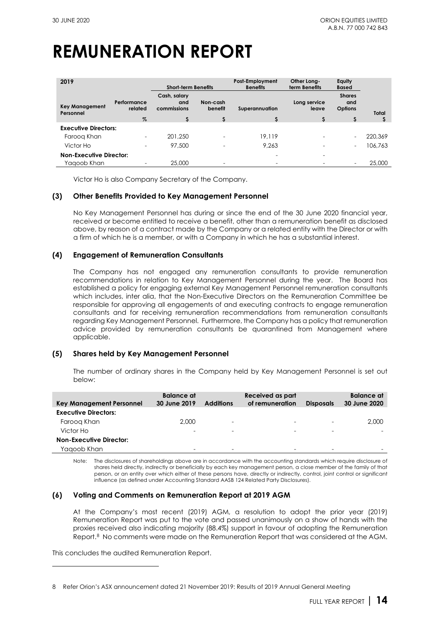# **REMUNERATION REPORT**

| 2019                               |                        |                                    | <b>Short-term Benefits</b> |                          | Other Long-<br>term Benefits | Equity<br><b>Based</b>                 |         |
|------------------------------------|------------------------|------------------------------------|----------------------------|--------------------------|------------------------------|----------------------------------------|---------|
| <b>Key Management</b><br>Personnel | Performance<br>related | Cash, salary<br>and<br>commissions | Non-cash<br>benefit        | Superannuation           | Long service<br>leave        | <b>Shares</b><br>and<br><b>Options</b> | Total   |
|                                    | $\%$                   |                                    |                            |                          |                              | \$                                     |         |
| <b>Executive Directors:</b>        |                        |                                    |                            |                          |                              |                                        |         |
| Faroog Khan                        |                        | 201,250                            | $\overline{\phantom{a}}$   | 19.119                   |                              | $\qquad \qquad -$                      | 220,369 |
| Victor Ho                          | -                      | 97,500                             | $\overline{\phantom{a}}$   | 9.263                    |                              | $\qquad \qquad -$                      | 106,763 |
| <b>Non-Executive Director:</b>     |                        |                                    |                            | $\overline{\phantom{a}}$ | $\overline{\phantom{0}}$     |                                        |         |
| Yaqoob Khan                        |                        | 25,000                             | $\overline{\phantom{0}}$   |                          |                              | -                                      | 25,000  |

Victor Ho is also Company Secretary of the Company.

### **(3) Other Benefits Provided to Key Management Personnel**

No Key Management Personnel has during or since the end of the 30 June 2020 financial year, received or become entitled to receive a benefit, other than a remuneration benefit as disclosed above, by reason of a contract made by the Company or a related entity with the Director or with a firm of which he is a member, or with a Company in which he has a substantial interest.

#### **(4) Engagement of Remuneration Consultants**

The Company has not engaged any remuneration consultants to provide remuneration recommendations in relation to Key Management Personnel during the year. The Board has established a policy for engaging external Key Management Personnel remuneration consultants which includes, inter alia, that the Non-Executive Directors on the Remuneration Committee be responsible for approving all engagements of and executing contracts to engage remuneration consultants and for receiving remuneration recommendations from remuneration consultants regarding Key Management Personnel. Furthermore, the Company has a policy that remuneration advice provided by remuneration consultants be quarantined from Management where applicable.

### **(5) Shares held by Key Management Personnel**

The number of ordinary shares in the Company held by Key Management Personnel is set out below:

| Key Management Personnel       | Balance at<br>30 June 2019 | <b>Additions</b> | Received as part<br>of remuneration | <b>Disposals</b>         | <b>Balance</b> at<br>30 June 2020 |
|--------------------------------|----------------------------|------------------|-------------------------------------|--------------------------|-----------------------------------|
| <b>Executive Directors:</b>    |                            |                  |                                     |                          |                                   |
| Faroog Khan                    | 2,000                      | ٠                | ۰                                   | $\overline{\phantom{a}}$ | 2,000                             |
| Victor Ho                      | -                          | ۰                | -                                   | $\overline{\phantom{0}}$ |                                   |
| <b>Non-Executive Director:</b> |                            |                  |                                     |                          |                                   |
| Yagoob Khan                    |                            | -                |                                     | $\overline{\phantom{0}}$ | -                                 |

Note: The disclosures of shareholdings above are in accordance with the accounting standards which require disclosure of shares held directly, indirectly or beneficially by each key management person, a close member of the family of that person, or an entity over which either of these persons have, directly or indirectly, control, joint control or significant influence (as defined under Accounting Standar[d AASB 124](http://www.aasb.gov.au/admin/file/content105/c9/AASB124_07-15.pdf) Related Party Disclosures).

#### **(6) Voting and Comments on Remuneration Report at 2019 AGM**

At the Company's most recent [\(2019\) AGM,](https://www.asx.com.au/asx/statistics/displayAnnouncement.do?display=pdf&idsId=02162908) a resolution to adopt the prior year (2019) Remuneration Report was put to the vote and passed unanimously on a show of hands with the proxies received also indicating majority [\(88.4%\)](https://www.asx.com.au/asx/statistics/displayAnnouncement.do?display=pdf&idsId=02175858) support in favour of adopting the Remuneration Report.<sup>[8](#page-14-0)</sup> No comments were made on the Remuneration Report that was considered at the AGM.

This concludes the audited Remuneration Report.

<span id="page-14-0"></span><sup>8</sup> Refer Orion's ASX announcement date[d 21 November 2019: Results of 2019 Annual General Meeting](https://www.asx.com.au/asx/statistics/displayAnnouncement.do?display=pdf&idsId=02175858)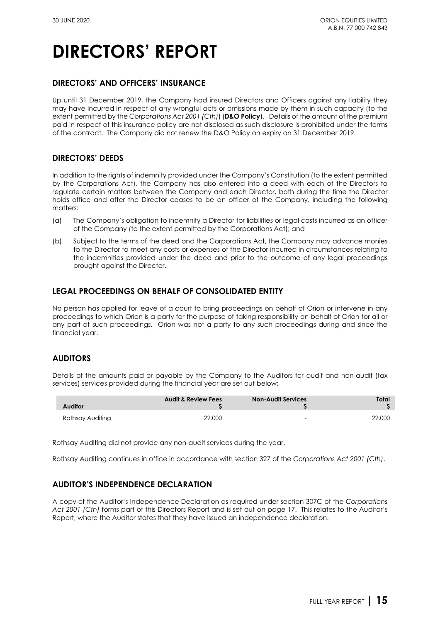### **DIRECTORS' AND OFFICERS' INSURANCE**

Up until 31 December 2019, the Company had insured Directors and Officers against any liability they may have incurred in respect of any wrongful acts or omissions made by them in such capacity (to the extent permitted by the *Corporations Act 2001 (Cth)*) (**D&O Policy**). Details of the amount of the premium paid in respect of this insurance policy are not disclosed as such disclosure is prohibited under the terms of the contract. The Company did not renew the D&O Policy on expiry on 31 December 2019.

### **DIRECTORS' DEEDS**

In addition to the rights of indemnity provided under the Company's [Constitution](http://www.orionequities.com.au/sites/default/files/20131211%20OEQ%20ASIC%20Constitution%20-%20Amended%20signed.pdf) (to the extent permitted by the Corporations Act), the Company has also entered into a deed with each of the Directors to regulate certain matters between the Company and each Director, both during the time the Director holds office and after the Director ceases to be an officer of the Company, including the following matters:

- (a) The Company's obligation to indemnify a Director for liabilities or legal costs incurred as an officer of the Company (to the extent permitted by the Corporations Act); and
- (b) Subject to the terms of the deed and the Corporations Act, the Company may advance monies to the Director to meet any costs or expenses of the Director incurred in circumstances relating to the indemnities provided under the deed and prior to the outcome of any legal proceedings brought against the Director.

### **LEGAL PROCEEDINGS ON BEHALF OF CONSOLIDATED ENTITY**

No person has applied for leave of a court to bring proceedings on behalf of Orion or intervene in any proceedings to which Orion is a party for the purpose of taking responsibility on behalf of Orion for all or any part of such proceedings. Orion was not a party to any such proceedings during and since the financial year.

### **AUDITORS**

Details of the amounts paid or payable by the Company to the Auditors for audit and non-audit (tax services) services provided during the financial year are set out below:

| <b>Auditor</b>   | <b>Audit &amp; Review Fees</b> | <b>Non-Audit Services</b> | Total  |
|------------------|--------------------------------|---------------------------|--------|
| Rothsay Auditing | 22,000                         | -                         | 22,000 |

Rothsay Auditing did not provide any non-audit services during the year.

Rothsay Auditing continues in office in accordance with [section 327](http://www.austlii.edu.au/au/legis/cth/num_act/ca2001172/s327.html) of the *Corporations Act 2001 (Cth)*.

### **AUDITOR'S INDEPENDENCE DECLARATION**

A copy of the Auditor's Independence Declaration as required under [section 307C](http://www.austlii.edu.au/au/legis/cth/consol_act/ca2001172/s307c.html) of the *Corporations Act 2001 (Cth)* forms part of this Directors Report and is set out on page 17. This relates to the Auditor's Report, where the Auditor states that they have issued an independence declaration.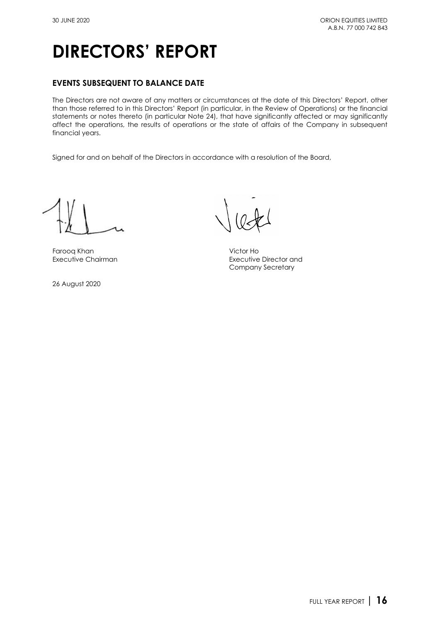### **EVENTS SUBSEQUENT TO BALANCE DATE**

The Directors are not aware of any matters or circumstances at the date of this Directors' Report, other than those referred to in this Directors' Report (in particular, in the Review of Operations) or the financial statements or notes thereto (in particular Note 24), that have significantly affected or may significantly affect the operations, the results of operations or the state of affairs of the Company in subsequent financial years.

Signed for and on behalf of the Directors in accordance with a resolution of the Board,

Farooq Khan Victor Ho

26 August 2020

Executive Director and Company Secretary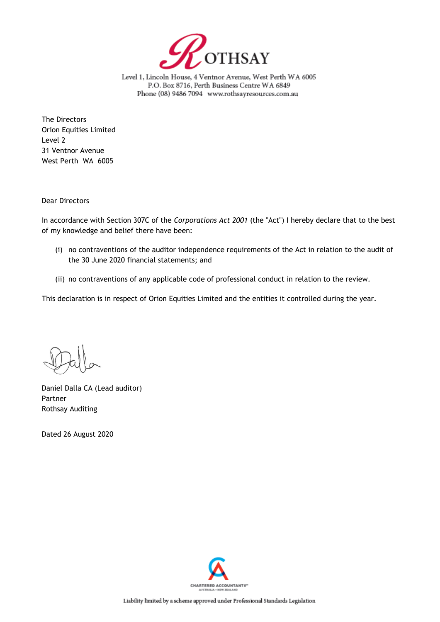

Level 1, Lincoln House, 4 Ventnor Avenue, West Perth WA 6005 P.O. Box 8716, Perth Business Centre WA 6849 Phone (08) 9486 7094 www.rothsayresources.com.au

The Directors Orion Equities Limited Level 2 31 Ventnor Avenue West Perth WA 6005

Dear Directors

In accordance with Section 307C of the *Corporations Act 2001* (the "Act") I hereby declare that to the best of my knowledge and belief there have been:

- (i) no contraventions of the auditor independence requirements of the Act in relation to the audit of the 30 June 2020 financial statements; and
- (ii) no contraventions of any applicable code of professional conduct in relation to the review.

This declaration is in respect of Orion Equities Limited and the entities it controlled during the year.

Daniel Dalla CA (Lead auditor) Partner Rothsay Auditing

Dated 26 August 2020

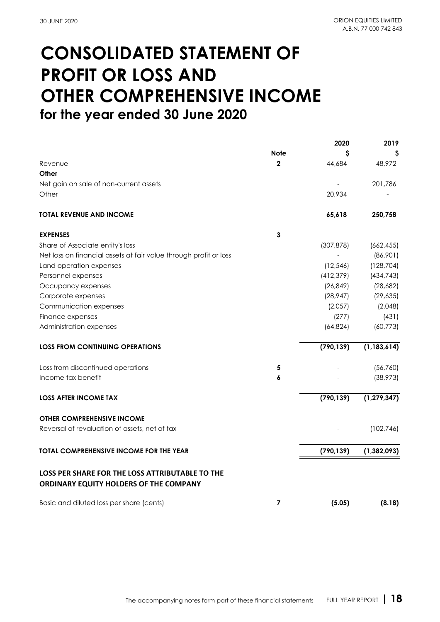## **CONSOLIDATED STATEMENT OF PROFIT OR LOSS AND OTHER COMPREHENSIVE INCOME for the year ended 30 June 2020**

|                                                                   |              | 2020       | 2019          |
|-------------------------------------------------------------------|--------------|------------|---------------|
|                                                                   | <b>Note</b>  | S          |               |
| Revenue                                                           | $\mathbf{2}$ | 44,684     | 48,972        |
| Other                                                             |              |            |               |
| Net gain on sale of non-current assets                            |              |            | 201,786       |
| Other                                                             |              | 20,934     |               |
| <b>TOTAL REVENUE AND INCOME</b>                                   |              | 65,618     | 250,758       |
| <b>EXPENSES</b>                                                   | 3            |            |               |
| Share of Associate entity's loss                                  |              | (307, 878) | (662, 455)    |
| Net loss on financial assets at fair value through profit or loss |              |            | (86,901)      |
| Land operation expenses                                           |              | (12, 546)  | (128, 704)    |
| Personnel expenses                                                |              | (412, 379) | (434, 743)    |
| Occupancy expenses                                                |              | (26, 849)  | (28,682)      |
| Corporate expenses                                                |              | (28, 947)  | (29, 635)     |
| Communication expenses                                            |              | (2,057)    | (2,048)       |
| Finance expenses                                                  |              | (277)      | (431)         |
| Administration expenses                                           |              | (64, 824)  | (60, 773)     |
| <b>LOSS FROM CONTINUING OPERATIONS</b>                            |              | (790, 139) | (1, 183, 614) |
| Loss from discontinued operations                                 | 5            |            | (56, 760)     |
| Income tax benefit                                                | 6            |            | (38, 973)     |
| <b>LOSS AFTER INCOME TAX</b>                                      |              | (790, 139) | (1, 279, 347) |
| <b>OTHER COMPREHENSIVE INCOME</b>                                 |              |            |               |
| Reversal of revaluation of assets, net of tax                     |              |            | (102, 746)    |
| <b>TOTAL COMPREHENSIVE INCOME FOR THE YEAR</b>                    |              | (790, 139) | (1, 382, 093) |
| <b>LOSS PER SHARE FOR THE LOSS ATTRIBUTABLE TO THE</b>            |              |            |               |
| ORDINARY EQUITY HOLDERS OF THE COMPANY                            |              |            |               |
| Basic and diluted loss per share (cents)                          | 7            | (5.05)     | (8.18)        |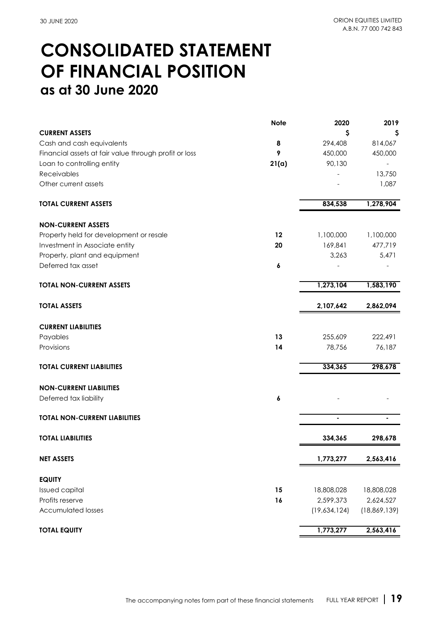## **CONSOLIDATED STATEMENT as at 30 June 2020 OF FINANCIAL POSITION**

|                                                       | <b>Note</b> | 2020         | 2019           |
|-------------------------------------------------------|-------------|--------------|----------------|
| <b>CURRENT ASSETS</b>                                 |             | S            | Ş              |
| Cash and cash equivalents                             | 8           | 294,408      | 814,067        |
| Financial assets at fair value through profit or loss | 9           | 450,000      | 450,000        |
| Loan to controlling entity                            | 21(a)       | 90,130       |                |
| Receivables                                           |             |              | 13,750         |
| Other current assets                                  |             |              | 1,087          |
| <b>TOTAL CURRENT ASSETS</b>                           |             | 834,538      | 1,278,904      |
| <b>NON-CURRENT ASSETS</b>                             |             |              |                |
| Property held for development or resale               | 12          | 1,100,000    | 1,100,000      |
| Investment in Associate entity                        | 20          | 169,841      | 477,719        |
| Property, plant and equipment                         |             | 3,263        | 5,471          |
| Deferred tax asset                                    | 6           |              |                |
| <b>TOTAL NON-CURRENT ASSETS</b>                       |             | 1,273,104    | 1,583,190      |
| <b>TOTAL ASSETS</b>                                   |             | 2,107,642    | 2,862,094      |
| <b>CURRENT LIABILITIES</b>                            |             |              |                |
| Payables                                              | 13          | 255,609      | 222,491        |
| Provisions                                            | 14          | 78,756       | 76,187         |
| <b>TOTAL CURRENT LIABILITIES</b>                      |             | 334,365      | 298,678        |
| <b>NON-CURRENT LIABILITIES</b>                        |             |              |                |
| Deferred tax liability                                | 6           |              |                |
| <b>TOTAL NON-CURRENT LIABILITIES</b>                  |             |              |                |
| <b>TOTAL LIABILITIES</b>                              |             | 334,365      | 298,678        |
| <b>NET ASSETS</b>                                     |             | 1,773,277    | 2,563,416      |
| <b>EQUITY</b>                                         |             |              |                |
| Issued capital                                        | 15          | 18,808,028   | 18,808,028     |
| Profits reserve                                       | 16          | 2,599,373    | 2,624,527      |
| <b>Accumulated losses</b>                             |             | (19,634,124) | (18, 869, 139) |
| <b>TOTAL EQUITY</b>                                   |             | 1,773,277    | 2,563,416      |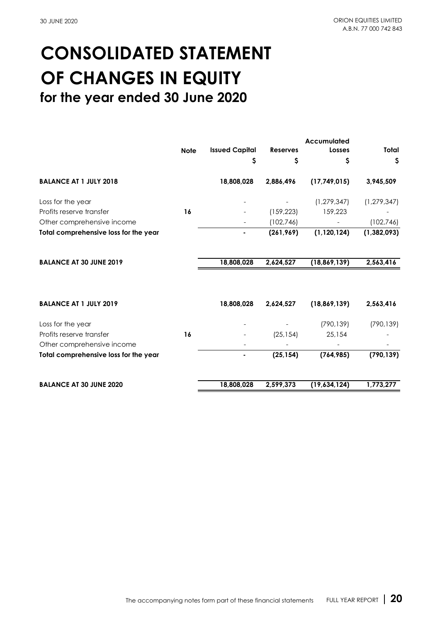## **for the year ended 30 June 2020 CONSOLIDATED STATEMENT OF CHANGES IN EQUITY**

|             |                       |                 | Accumulated    |               |
|-------------|-----------------------|-----------------|----------------|---------------|
| <b>Note</b> | <b>Issued Capital</b> | <b>Reserves</b> | Losses         | Total         |
|             | \$                    | \$              | \$             | \$            |
|             | 18,808,028            | 2,886,496       | (17,749,015)   | 3,945,509     |
|             |                       |                 | (1, 279, 347)  | (1, 279, 347) |
| 16          |                       | (159, 223)      | 159,223        |               |
|             |                       | (102, 746)      |                | (102, 746)    |
|             | ۰                     | (261, 969)      | (1, 120, 124)  | (1, 382, 093) |
|             | 18,808,028            | 2,624,527       | (18, 869, 139) | 2,563,416     |
|             | 18,808,028            | 2,624,527       | (18, 869, 139) | 2,563,416     |
|             |                       |                 | (790, 139)     | (790, 139)    |
| 16          |                       | (25, 154)       | 25,154         |               |
|             |                       |                 |                |               |
|             | ۰                     | (25, 154)       | (764, 985)     | (790, 139)    |
|             | 18,808,028            | 2,599,373       | (19,634,124)   | 1,773,277     |
|             |                       |                 |                |               |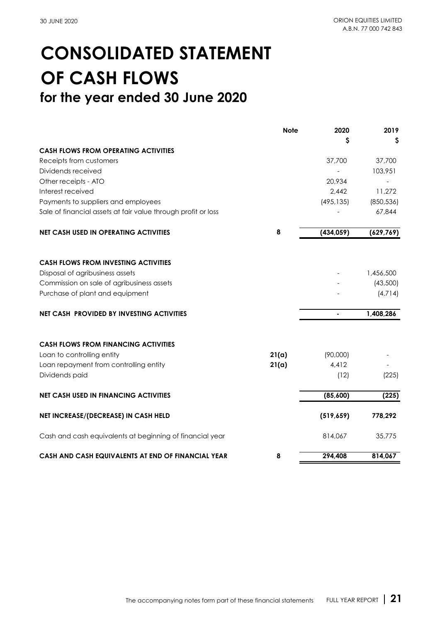## **CONSOLIDATED STATEMENT OF CASH FLOWS for the year ended 30 June 2020**

|                                                               | <b>Note</b> | 2020       | 2019       |
|---------------------------------------------------------------|-------------|------------|------------|
|                                                               |             | S          | Ş          |
| <b>CASH FLOWS FROM OPERATING ACTIVITIES</b>                   |             |            |            |
| Receipts from customers                                       |             | 37,700     | 37,700     |
| Dividends received                                            |             |            | 103,951    |
| Other receipts - ATO                                          |             | 20,934     |            |
| Interest received                                             |             | 2,442      | 11,272     |
| Payments to suppliers and employees                           |             | (495, 135) | (850, 536) |
| Sale of financial assets at fair value through profit or loss |             |            | 67,844     |
| <b>NET CASH USED IN OPERATING ACTIVITIES</b>                  | 8           | (434, 059) | (629, 769) |
|                                                               |             |            |            |
| <b>CASH FLOWS FROM INVESTING ACTIVITIES</b>                   |             |            |            |
| Disposal of agribusiness assets                               |             |            | 1,456,500  |
| Commission on sale of agribusiness assets                     |             |            | (43,500)   |
| Purchase of plant and equipment                               |             |            | (4,714)    |
| <b>NET CASH PROVIDED BY INVESTING ACTIVITIES</b>              |             |            | 1,408,286  |
| <b>CASH FLOWS FROM FINANCING ACTIVITIES</b>                   |             |            |            |
| Loan to controlling entity                                    | 21(a)       | (90,000)   |            |
| Loan repayment from controlling entity                        | 21(a)       | 4,412      |            |
| Dividends paid                                                |             | (12)       | (225)      |
| <b>NET CASH USED IN FINANCING ACTIVITIES</b>                  |             | (85,600)   | (225)      |
| NET INCREASE/(DECREASE) IN CASH HELD                          |             | (519, 659) | 778,292    |
| Cash and cash equivalents at beginning of financial year      |             | 814,067    | 35,775     |
| CASH AND CASH EQUIVALENTS AT END OF FINANCIAL YEAR            | 8           | 294,408    | 814,067    |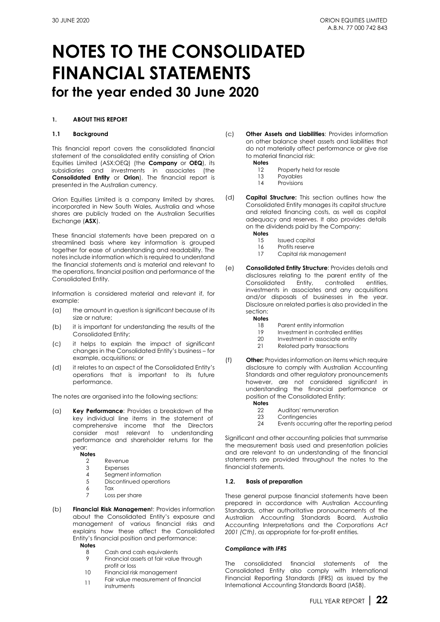#### **1. ABOUT THIS REPORT**

#### **1.1 Background**

This financial report covers the consolidated financial statement of the consolidated entity consisting of Orion Equities Limited (AS[X:OEQ\)](https://www.asx.com.au/asx/share-price-research/company/OEQ) (the **Company** or **OEQ**), its subsidiaries and investments in associates (the **Consolidated Entity** or **Orion**). The financial report is presented in the Australian currency.

Orion Equities Limited is a company limited by shares, incorporated in New South Wales, Australia and whose shares are publicly traded on the Australian Securities Exchange (**ASX**).

These financial statements have been prepared on a streamlined basis where key information is grouped together for ease of understanding and readability. The notes include information which is required to understand the financial statements and is material and relevant to the operations, financial position and performance of the Consolidated Entity.

Information is considered material and relevant if, for example:

- (a) the amount in question is significant because of its size or nature;
- (b) it is important for understanding the results of the Consolidated Entity;
- (c) it helps to explain the impact of significant changes in the Consolidated Entity's business – for example, acquisitions; or
- (d) it relates to an aspect of the Consolidated Entity's operations that is important to its future performance.

The notes are organised into the following sections:

(a) **Key Performance**: Provides a breakdown of the key individual line items in the statement of comprehensive income that the Directors consider most relevant to understanding performance and shareholder returns for the year:

**Notes**

- 2 Revenue
- 3 Expenses
- 4 Segment information<br>5 Discontinued operation Discontinued operations
- 6 Tax
- 7 Loss per share
- (b) **Financial Risk Managemen**t: Provides information about the Consolidated Entity's exposure and management of various financial risks and explains how these affect the Consolidated Entity's financial position and performance: **Notes**
	- 8 Cash and cash equivalents
	- 9 Financial assets at fair value through profit or loss
	- 10 Financial risk management
	- 11 Fair value measurement of financial instruments
- (c) **Other Assets and Liabilities**: Provides information on other balance sheet assets and liabilities that do not materially affect performance or give rise to material financial risk:
	- **Notes**
		- 12 Property held for resale<br>13 Pavables
		- 13 Payables<br>14 Provisions
		- Provisions
- (d) **Capital Structure:** This section outlines how the Consolidated Entity manages its capital structure and related financing costs, as well as capital adequacy and reserves. It also provides details on the dividends paid by the Company:
	- **Notes**
		- 15 Issued capital<br>16 Profits reserve
		- 16 Profits reserve<br>17 Capital risk me
		- Capital risk management
- (e) **Consolidated Entity Structure**: Provides details and disclosures relating to the parent entity of the Entity, controlled investments in associates and any acquisitions and/or disposals of businesses in the year. Disclosure on related parties is also provided in the section:
	- **Notes**
		- 18 Parent entity information<br>19 Investment in controlled
		- Investment in controlled entities
		- 20 Investment in associate entity<br>21 Related party transactions
		- Related party transactions
- (f) **Other:** Provides information on items which require disclosure to comply with Australian Accounting Standards and other regulatory pronouncements however, are not considered significant in understanding the financial performance or position of the Consolidated Entity:
	- **Notes**
		- 22 Auditors' remuneration<br>23 Contingencies
		- 23 Contingencies<br>24 Events occurring
		- Events occurring after the reporting period

Significant and other accounting policies that summarise the measurement basis used and presentation policies and are relevant to an understanding of the financial statements are provided throughout the notes to the financial statements.

#### **1.2. Basis of preparation**

These general purpose financial statements have been prepared in accordance with Australian Accounting Standards, other authoritative pronouncements of the Australian Accounting Standards Board, Australia Accounting Interpretations and the *Corporations Act 2001 (Cth)*, as appropriate for for-profit entities*.*

#### *Compliance with IFRS*

The consolidated financial statements of the Consolidated Entity also comply with International Financial Reporting Standards (IFRS) as issued by the International Accounting Standards Board (IASB).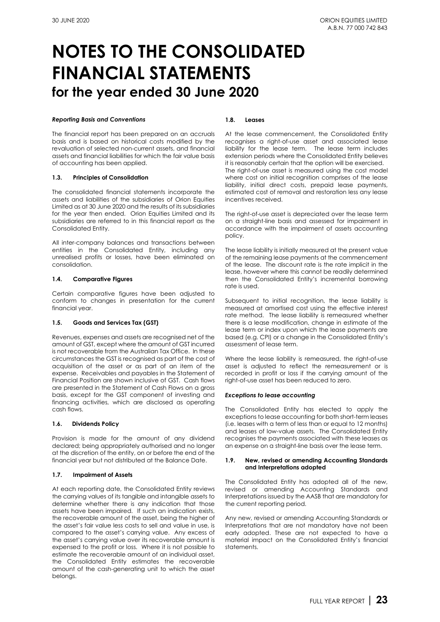#### *Reporting Basis and Conventions*

The financial report has been prepared on an accruals basis and is based on historical costs modified by the revaluation of selected non-current assets, and financial assets and financial liabilities for which the fair value basis of accounting has been applied.

#### **1.3. Principles of Consolidation**

The consolidated financial statements incorporate the assets and liabilities of the subsidiaries of Orion Equities Limited as at 30 June 2020 and the results of its subsidiaries for the year then ended. Orion Equities Limited and its subsidiaries are referred to in this financial report as the Consolidated Entity.

All inter-company balances and transactions between entities in the Consolidated Entity, including any unrealised profits or losses, have been eliminated on consolidation.

#### **1.4. Comparative Figures**

Certain comparative figures have been adjusted to conform to changes in presentation for the current financial year.

#### **1.5. Goods and Services Tax (GST)**

Revenues, expenses and assets are recognised net of the amount of GST, except where the amount of GST incurred is not recoverable from the Australian Tax Office. In these circumstances the GST is recognised as part of the cost of acquisition of the asset or as part of an item of the expense. Receivables and payables in the Statement of Financial Position are shown inclusive of GST. Cash flows are presented in the Statement of Cash Flows on a gross basis, except for the GST component of investing and financing activities, which are disclosed as operating cash flows.

#### **1.6. Dividends Policy**

Provision is made for the amount of any dividend declared; being appropriately authorised and no longer at the discretion of the entity, on or before the end of the financial year but not distributed at the Balance Date.

#### **1.7. Impairment of Assets**

At each reporting date, the Consolidated Entity reviews the carrying values of its tangible and intangible assets to determine whether there is any indication that those assets have been impaired. If such an indication exists, the recoverable amount of the asset, being the higher of the asset's fair value less costs to sell and value in use, is compared to the asset's carrying value. Any excess of the asset's carrying value over its recoverable amount is expensed to the profit or loss. Where it is not possible to estimate the recoverable amount of an individual asset, the Consolidated Entity estimates the recoverable amount of the cash-generating unit to which the asset belongs.

#### **1.8. Leases**

At the lease commencement, the Consolidated Entity recognises a right-of-use asset and associated lease liability for the lease term. The lease term includes extension periods where the Consolidated Entity believes it is reasonably certain that the option will be exercised. The right-of-use asset is measured using the cost model where cost on initial recognition comprises of the lease liability, initial direct costs, prepaid lease payments, estimated cost of removal and restoration less any lease incentives received.

The right-of-use asset is depreciated over the lease term on a straight-line basis and assessed for impairment in accordance with the impairment of assets accounting policy.

The lease liability is initially measured at the present value of the remaining lease payments at the commencement of the lease. The discount rate is the rate implicit in the lease, however where this cannot be readily determined then the Consolidated Entity's incremental borrowing rate is used.

Subsequent to initial recognition, the lease liability is measured at amortised cost using the effective interest rate method. The lease liability is remeasured whether there is a lease modification, change in estimate of the lease term or index upon which the lease payments are based (e.g. CPI) or a change in the Consolidated Entity's assessment of lease term.

Where the lease liability is remeasured, the right-of-use asset is adjusted to reflect the remeasurement or is recorded in profit or loss if the carrying amount of the right-of-use asset has been reduced to zero.

#### *Exceptions to lease accounting*

The Consolidated Entity has elected to apply the exceptions to lease accounting for both short-term leases (i.e. leases with a term of less than or equal to 12 months) and leases of low-value assets. The Consolidated Entity recognises the payments associated with these leases as an expense on a straight-line basis over the lease term.

#### **1.9. New, revised or amending Accounting Standards and Interpretations adopted**

The Consolidated Entity has adopted all of the new, revised or amending Accounting Standards and Interpretations issued by the AASB that are mandatory for the current reporting period.

Any new, revised or amending Accounting Standards or Interpretations that are not mandatory have not been early adopted. These are not expected to have a material impact on the Consolidated Entity's financial statements.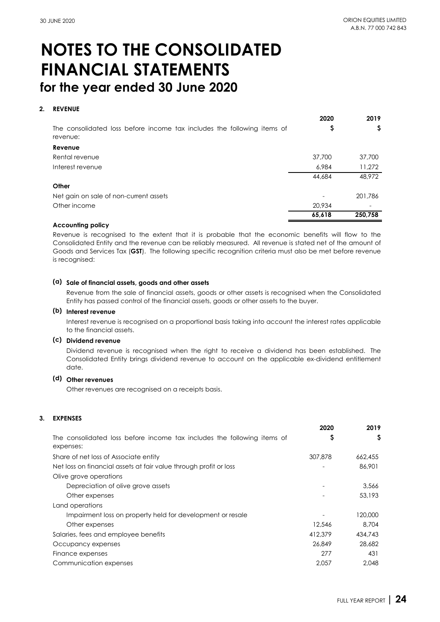### **2. REVENUE**

|                                                                                     | 2020   | 2019    |
|-------------------------------------------------------------------------------------|--------|---------|
| The consolidated loss before income tax includes the following items of<br>revenue: | ⊋      | S       |
| Revenue                                                                             |        |         |
| Rental revenue                                                                      | 37,700 | 37,700  |
| Interest revenue                                                                    | 6,984  | 11,272  |
|                                                                                     | 44,684 | 48,972  |
| Other                                                                               |        |         |
| Net gain on sale of non-current assets                                              |        | 201,786 |
| Other income                                                                        | 20,934 |         |
|                                                                                     | 65,618 | 250,758 |

#### **Accounting policy**

Revenue is recognised to the extent that it is probable that the economic benefits will flow to the Consolidated Entity and the revenue can be reliably measured. All revenue is stated net of the amount of Goods and Services Tax (**GST**). The following specific recognition criteria must also be met before revenue is recognised:

#### **(a) Sale of financial assets, goods and other assets**

Revenue from the sale of financial assets, goods or other assets is recognised when the Consolidated Entity has passed control of the financial assets, goods or other assets to the buyer.

#### **(b) Interest revenue**

Interest revenue is recognised on a proportional basis taking into account the interest rates applicable to the financial assets.

### **(c) Dividend revenue**

Dividend revenue is recognised when the right to receive a dividend has been established. The Consolidated Entity brings dividend revenue to account on the applicable ex-dividend entitlement date.

#### **(d) Other revenues**

Other revenues are recognised on a receipts basis.

#### **3. EXPENSES**

|                                                                                      | 2020    | 2019    |
|--------------------------------------------------------------------------------------|---------|---------|
| The consolidated loss before income tax includes the following items of<br>expenses: | Ş       | \$      |
| Share of net loss of Associate entity                                                | 307,878 | 662,455 |
| Net loss on financial assets at fair value through profit or loss                    |         | 86,901  |
| Olive grove operations                                                               |         |         |
| Depreciation of olive grove assets                                                   |         | 3.566   |
| Other expenses                                                                       |         | 53,193  |
| Land operations                                                                      |         |         |
| Impairment loss on property held for development or resale                           |         | 120,000 |
| Other expenses                                                                       | 12,546  | 8,704   |
| Salaries, fees and employee benefits                                                 | 412.379 | 434,743 |
| Occupancy expenses                                                                   | 26,849  | 28,682  |
| Finance expenses                                                                     | 277     | 431     |
| Communication expenses                                                               | 2.057   | 2.048   |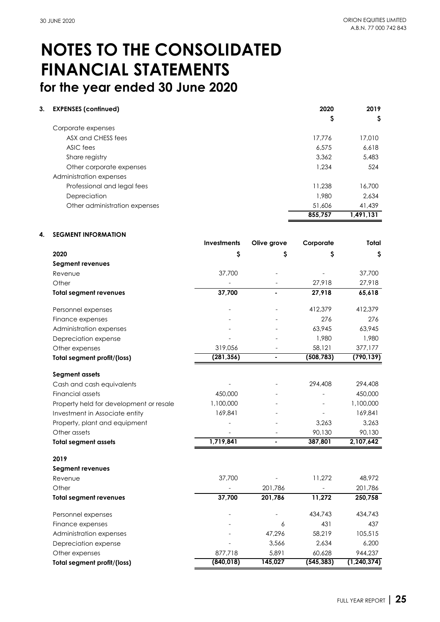| 3. | <b>EXPENSES (continued)</b>   | 2020    | 2019      |
|----|-------------------------------|---------|-----------|
|    |                               | Ş       | \$        |
|    | Corporate expenses            |         |           |
|    | ASX and CHESS fees            | 17.776  | 17,010    |
|    | ASIC fees                     | 6,575   | 6,618     |
|    | Share registry                | 3.362   | 5,483     |
|    | Other corporate expenses      | 1,234   | 524       |
|    | Administration expenses       |         |           |
|    | Professional and legal fees   | 11,238  | 16,700    |
|    | Depreciation                  | 1,980   | 2.634     |
|    | Other administration expenses | 51,606  | 41,439    |
|    |                               | 855.757 | 1.491.131 |

#### **4. SEGMENT INFORMATION**

|                                         | Investments | Olive grove    | Corporate  | Total         |
|-----------------------------------------|-------------|----------------|------------|---------------|
| 2020                                    | Ş           | S              | S          | S             |
| Segment revenues                        |             |                |            |               |
| Revenue                                 | 37,700      |                |            | 37,700        |
| Other                                   |             |                | 27,918     | 27,918        |
| <b>Total segment revenues</b>           | 37,700      |                | 27,918     | 65,618        |
| Personnel expenses                      |             |                | 412,379    | 412,379       |
| Finance expenses                        |             |                | 276        | 276           |
| Administration expenses                 |             |                | 63,945     | 63,945        |
| Depreciation expense                    |             |                | 1,980      | 1,980         |
| Other expenses                          | 319,056     |                | 58,121     | 377,177       |
| <b>Total segment profit/(loss)</b>      | (281, 356)  |                | (508, 783) | (790, 139)    |
| <b>Segment assets</b>                   |             |                |            |               |
| Cash and cash equivalents               |             |                | 294,408    | 294,408       |
| <b>Financial assets</b>                 | 450,000     |                |            | 450,000       |
| Property held for development or resale | 1,100,000   |                |            | 1,100,000     |
| Investment in Associate entity          | 169,841     |                |            | 169,841       |
| Property, plant and equipment           |             |                | 3,263      | 3,263         |
| Other assets                            |             |                | 90,130     | 90,130        |
| <b>Total segment assets</b>             | 1,719,841   | $\blacksquare$ | 387,801    | 2,107,642     |
| 2019                                    |             |                |            |               |
| Segment revenues                        |             |                |            |               |
| Revenue                                 | 37,700      |                | 11,272     | 48,972        |
| Other                                   |             | 201,786        |            | 201,786       |
| <b>Total segment revenues</b>           | 37,700      | 201,786        | 11,272     | 250,758       |
| Personnel expenses                      |             |                | 434,743    | 434,743       |
| Finance expenses                        |             | 6              | 431        | 437           |
| Administration expenses                 |             | 47,296         | 58,219     | 105,515       |
| Depreciation expense                    |             | 3,566          | 2,634      | 6,200         |
| Other expenses                          | 877,718     | 5,891          | 60,628     | 944,237       |
| <b>Total segment profit/(loss)</b>      | (840, 018)  | 145,027        | (545, 383) | (1, 240, 374) |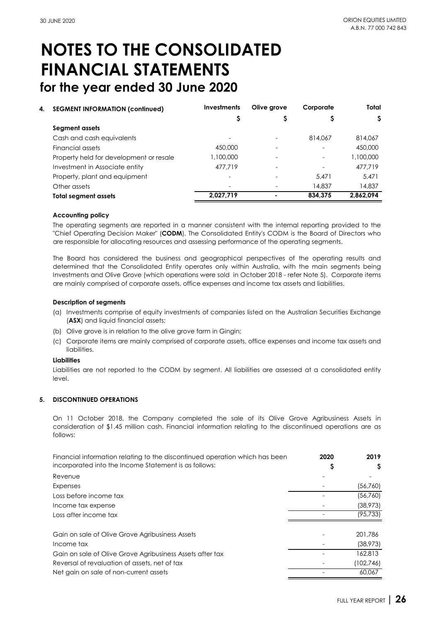| 4. | <b>SEGMENT INFORMATION (continued)</b>  | <b>Investments</b> | Olive grove | Corporate | Total     |
|----|-----------------------------------------|--------------------|-------------|-----------|-----------|
|    |                                         |                    | S           | S         | S         |
|    | Segment assets                          |                    |             |           |           |
|    | Cash and cash equivalents               |                    |             | 814,067   | 814,067   |
|    | Financial assets                        | 450,000            |             |           | 450,000   |
|    | Property held for development or resale | 1,100,000          |             |           | 1,100,000 |
|    | Investment in Associate entity          | 477.719            |             |           | 477.719   |
|    | Property, plant and equipment           |                    |             | 5.471     | 5,471     |
|    | Other assets                            |                    |             | 14,837    | 14,837    |
|    | <b>Total segment assets</b>             | 2,027,719          |             | 834.375   | 2,862,094 |

#### **Accounting policy**

The operating segments are reported in a manner consistent with the internal reporting provided to the "Chief Operating Decision Maker" (**CODM**). The Consolidated Entity's CODM is the Board of Directors who are responsible for allocating resources and assessing performance of the operating segments.

The Board has considered the business and geographical perspectives of the operating results and determined that the Consolidated Entity operates only within Australia, with the main segments being Investments and Olive Grove (which operations were sold in October 2018 - refer Note 5). Corporate items are mainly comprised of corporate assets, office expenses and income tax assets and liabilities.

#### **Description of segments**

- (a) Investments comprise of equity investments of companies listed on the Australian Securities Exchange (**ASX**) and liquid financial assets;
- (b) Olive grove is in relation to the olive grove farm in Gingin;
- (c) Corporate items are mainly comprised of corporate assets, office expenses and income tax assets and liabilities.

#### **Liabilities**

Liabilities are not reported to the CODM by segment. All liabilities are assessed at a consolidated entity level.

#### **5. DISCONTINUED OPERATIONS**

On 11 October 2018, the Company completed the sale of its Olive Grove Agribusiness Assets in consideration of \$1.45 million cash. Financial information relating to the discontinued operations are as follows:

| Financial information relating to the discontinued operation which has been<br>incorporated into the Income Statement is as follows: | 2020 | 2019      |
|--------------------------------------------------------------------------------------------------------------------------------------|------|-----------|
| Revenue                                                                                                                              |      |           |
| Expenses                                                                                                                             |      | (56, 760) |
| Loss before income tax                                                                                                               |      | (56,760)  |
| Income tax expense                                                                                                                   |      | (38, 973) |
| Loss after income tax                                                                                                                |      | (95, 733) |
| Gain on sale of Olive Grove Agribusiness Assets                                                                                      |      | 201.786   |
| Income tax                                                                                                                           |      | (38, 973) |
| Gain on sale of Olive Grove Agribusiness Assets after tax                                                                            |      | 162,813   |
| Reversal of revaluation of assets, net of tax                                                                                        |      | (102,746) |
| Net gain on sale of non-current assets                                                                                               |      | 60,067    |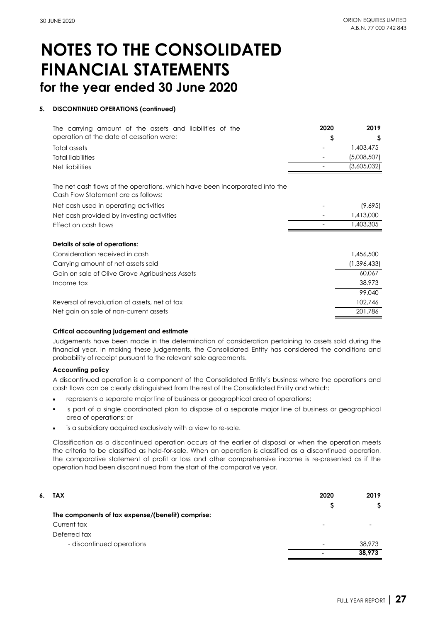#### **5. DISCONTINUED OPERATIONS (continued)**

| The carrying amount of the assets and liabilities of the<br>operation at the date of cessation were:<br>Total assets | 2020<br>\$ | 2019<br>S<br>1,403,475     |
|----------------------------------------------------------------------------------------------------------------------|------------|----------------------------|
| <b>Total liabilities</b><br>Net liabilities                                                                          |            | (5,008,507)<br>(3,605,032) |
| The net cash flows of the operations, which have been incorporated into the<br>Cash Flow Statement are as follows:   |            |                            |
| Net cash used in operating activities                                                                                |            | (9,695)                    |
| Net cash provided by investing activities                                                                            |            | 1,413,000                  |
| Effect on cash flows                                                                                                 |            | 1,403,305                  |
| Details of sale of operations:                                                                                       |            |                            |
| Consideration received in cash                                                                                       |            | 1,456,500                  |
| Carrying amount of net assets sold                                                                                   |            | (1,396,433)                |
| Gain on sale of Olive Grove Agribusiness Assets                                                                      |            | 60,067                     |
| Income tax                                                                                                           |            | 38,973                     |
|                                                                                                                      |            | 99,040                     |
| Reversal of revaluation of assets, net of tax                                                                        |            | 102,746                    |
| Net gain on sale of non-current assets                                                                               |            | 201,786                    |

#### **Critical accounting judgement and estimate**

Judgements have been made in the determination of consideration pertaining to assets sold during the financial year. In making these judgements, the Consolidated Entity has considered the conditions and probability of receipt pursuant to the relevant sale agreements.

#### **Accounting policy**

A discontinued operation is a component of the Consolidated Entity's business where the operations and cash flows can be clearly distinguished from the rest of the Consolidated Entity and which:

- represents a separate major line of business or geographical area of operations;
- г is part of a single coordinated plan to dispose of a separate major line of business or geographical area of operations; or
- is a subsidiary acquired exclusively with a view to re-sale.

Classification as a discontinued operation occurs at the earlier of disposal or when the operation meets the criteria to be classified as held-for-sale. When an operation is classified as a discontinued operation, the comparative statement of profit or loss and other comprehensive income is re-presented as if the operation had been discontinued from the start of the comparative year.

| 6. . | TAX                                               | 2020 | 2019   |
|------|---------------------------------------------------|------|--------|
|      |                                                   |      |        |
|      | The components of tax expense/(benefit) comprise: |      |        |
|      | Current tax                                       | ۰    |        |
|      | Deferred tax                                      |      |        |
|      | - discontinued operations                         |      | 38,973 |
|      |                                                   |      | 38,973 |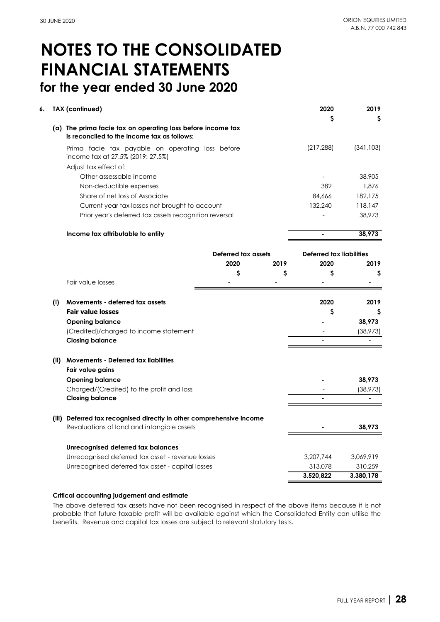| 6.  | <b>TAX (continued)</b>                                                                |                     |      | 2020                     | 2019       |
|-----|---------------------------------------------------------------------------------------|---------------------|------|--------------------------|------------|
|     | (a) The prima facie tax on operating loss before income tax                           |                     |      | \$                       | \$         |
|     | is reconciled to the income tax as follows:                                           |                     |      |                          |            |
|     | Prima facie tax payable on operating loss before<br>income tax at 27.5% (2019: 27.5%) |                     |      | (217, 288)               | (341, 103) |
|     | Adjust tax effect of:                                                                 |                     |      |                          |            |
|     | Other assessable income                                                               |                     |      |                          | 38,905     |
|     | Non-deductible expenses                                                               |                     |      | 382                      | 1,876      |
|     | Share of net loss of Associate                                                        |                     |      | 84,666                   | 182,175    |
|     | Current year tax losses not brought to account                                        |                     |      | 132,240                  | 118,147    |
|     | Prior year's deferred tax assets recognition reversal                                 |                     |      |                          | 38,973     |
|     | Income tax attributable to entity                                                     |                     |      | $\overline{a}$           | 38,973     |
|     |                                                                                       | Deferred tax assets |      | Deferred tax liabilities |            |
|     |                                                                                       | 2020                | 2019 | 2020                     | 2019       |
|     |                                                                                       | \$                  | \$   | \$                       | \$         |
|     | Fair value losses                                                                     |                     |      |                          |            |
| (i) | Movements - deferred tax assets                                                       |                     |      | 2020                     | 2019       |
|     | <b>Fair value losses</b>                                                              |                     |      | \$                       | S          |
|     | <b>Opening balance</b>                                                                |                     |      |                          | 38,973     |
|     | (Credited)/charged to income statement                                                |                     |      |                          | (38, 973)  |
|     | <b>Closing balance</b>                                                                |                     |      |                          |            |
|     | (ii) Movements - Deferred tax liabilities                                             |                     |      |                          |            |
|     | Fair value gains                                                                      |                     |      |                          |            |
|     | <b>Opening balance</b>                                                                |                     |      |                          | 38,973     |
|     | Charged/(Credited) to the profit and loss                                             |                     |      |                          | (38, 973)  |
|     | <b>Closing balance</b>                                                                |                     |      |                          |            |
|     | (iii) Deferred tax recognised directly in other comprehensive income                  |                     |      |                          |            |
|     | Revaluations of land and intangible assets                                            |                     |      |                          | 38,973     |
|     | Unrecognised deferred tax balances                                                    |                     |      |                          |            |
|     | Unrecognised deferred tax asset - revenue losses                                      |                     |      | 3,207,744                | 3,069,919  |
|     | Unrecognised deferred tax asset - capital losses                                      |                     |      | 313,078                  | 310,259    |
|     |                                                                                       |                     |      | 3,520,822                | 3,380,178  |

#### **Critical accounting judgement and estimate**

The above deferred tax assets have not been recognised in respect of the above items because it is not probable that future taxable profit will be available against which the Consolidated Entity can utilise the benefits. Revenue and capital tax losses are subject to relevant statutory tests.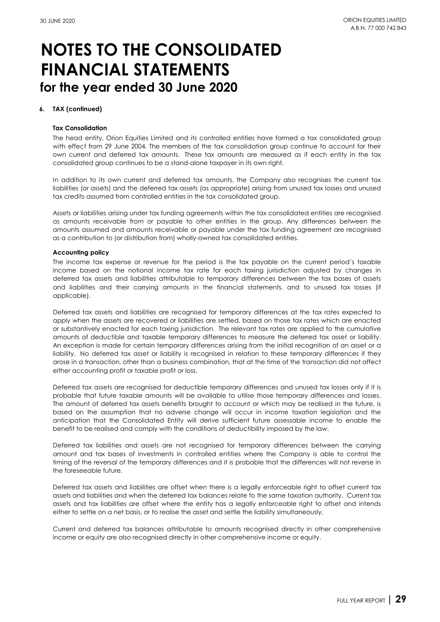#### **6. TAX (continued)**

#### **Tax Consolidation**

The head entity, Orion Equities Limited and its controlled entities have formed a tax consolidated group with effect from 29 June 2004. The members of the tax consolidation group continue to account for their own current and deferred tax amounts. These tax amounts are measured as if each entity in the tax consolidated group continues to be a stand-alone taxpayer in its own right.

In addition to its own current and deferred tax amounts, the Company also recognises the current tax liabilities (or assets) and the deferred tax assets (as appropriate) arising from unused tax losses and unused tax credits assumed from controlled entities in the tax consolidated group.

Assets or liabilities arising under tax funding agreements within the tax consolidated entities are recognised as amounts receivable from or payable to other entities in the group. Any differences between the amounts assumed and amounts receivable or payable under the tax funding agreement are recognised as a contribution to (or distribution from) wholly-owned tax consolidated entities.

#### **Accounting policy**

The income tax expense or revenue for the period is the tax payable on the current period's taxable income based on the notional income tax rate for each taxing jurisdiction adjusted by changes in deferred tax assets and liabilities attributable to temporary differences between the tax bases of assets and liabilities and their carrying amounts in the financial statements, and to unused tax losses (if applicable).

Deferred tax assets and liabilities are recognised for temporary differences at the tax rates expected to apply when the assets are recovered or liabilities are settled, based on those tax rates which are enacted or substantively enacted for each taxing jurisdiction. The relevant tax rates are applied to the cumulative amounts of deductible and taxable temporary differences to measure the deferred tax asset or liability. An exception is made for certain temporary differences arising from the initial recognition of an asset or a liability. No deferred tax asset or liability is recognised in relation to these temporary differences if they arose in a transaction, other than a business combination, that at the time of the transaction did not affect either accounting profit or taxable profit or loss.

Deferred tax assets are recognised for deductible temporary differences and unused tax losses only if it is probable that future taxable amounts will be available to utilise those temporary differences and losses. The amount of deferred tax assets benefits brought to account or which may be realised in the future, is based on the assumption that no adverse change will occur in income taxation legislation and the anticipation that the Consolidated Entity will derive sufficient future assessable income to enable the benefit to be realised and comply with the conditions of deductibility imposed by the law.

Deferred tax liabilities and assets are not recognised for temporary differences between the carrying amount and tax bases of investments in controlled entities where the Company is able to control the timing of the reversal of the temporary differences and it is probable that the differences will not reverse in the foreseeable future.

Deferred tax assets and liabilities are offset when there is a legally enforceable right to offset current tax assets and liabilities and when the deferred tax balances relate to the same taxation authority. Current tax assets and tax liabilities are offset where the entity has a legally enforceable right to offset and intends either to settle on a net basis, or to realise the asset and settle the liability simultaneously.

Current and deferred tax balances attributable to amounts recognised directly in other comprehensive income or equity are also recognised directly in other comprehensive income or equity.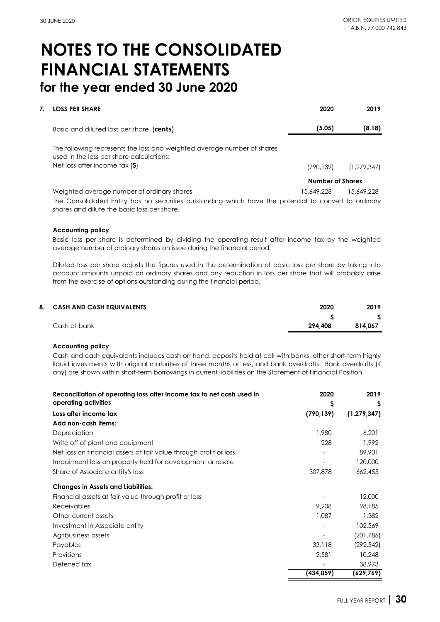| <b>LOSS PER SHARE</b>                                                                                               | 2020                    | 2019        |
|---------------------------------------------------------------------------------------------------------------------|-------------------------|-------------|
| Basic and diluted loss per share (cents)                                                                            | (5.05)                  | (8.18)      |
| The following represents the loss and weighted average number of shares<br>used in the loss per share calculations: |                         |             |
| Net loss after income tax $(\$)$                                                                                    | (790, 139)              | (1,279,347) |
|                                                                                                                     | <b>Number of Shares</b> |             |
| Weighted average number of ordinary shares                                                                          | 15.649.228              | 15.649.228  |

The Consolidated Entity has no securities outstanding which have the potential to convert to ordinary shares and dilute the basic loss per share.

#### **Accounting policy**

Basic loss per share is determined by dividing the operating result after income tax by the weighted average number of ordinary shares on issue during the financial period.

Diluted loss per share adjusts the figures used in the determination of basic loss per share by taking into account amounts unpaid on ordinary shares and any reduction in loss per share that will probably arise from the exercise of options outstanding during the financial period.

| 8. CASH AND CASH EQUIVALENTS | 2020    | 2019    |
|------------------------------|---------|---------|
|                              |         |         |
| Cash at bank                 | 294.408 | 814.067 |
|                              |         |         |

#### **Accounting policy**

Cash and cash equivalents includes cash on hand, deposits held at call with banks, other short-term highly liquid investments with original maturities of three months or less, and bank overdrafts. Bank overdrafts (if any) are shown within short-term borrowings in current liabilities on the Statement of Financial Position.

| Reconciliation of operating loss after income tax to net cash used in | 2020       | 2019          |
|-----------------------------------------------------------------------|------------|---------------|
| operating activities                                                  | \$         | Ş             |
| Loss after income tax                                                 | (790, 139) | (1, 279, 347) |
| Add non-cash items:                                                   |            |               |
| Depreciation                                                          | 1,980      | 6,201         |
| Write off of plant and equipment                                      | 228        | 1,992         |
| Net loss on financial assets at fair value through profit or loss     |            | 89,901        |
| Impairment loss on property held for development or resale            |            | 120,000       |
| Share of Associate entity's loss                                      | 307,878    | 662,455       |
| <b>Changes in Assets and Liabilities:</b>                             |            |               |
| Financial assets at fair value through profit or loss                 |            | 12,000        |
| Receivables                                                           | 9.208      | 98,185        |
| Other current assets                                                  | 1,087      | 1,382         |
| Investment in Associate entity                                        |            | 102,569       |
| Agribusiness assets                                                   |            | (201,786)     |
| Payables                                                              | 33,118     | (292, 542)    |
| Provisions                                                            | 2,581      | 10,248        |
| Deferred tax                                                          |            | 38,973        |
|                                                                       | (434, 059) | (629,769)     |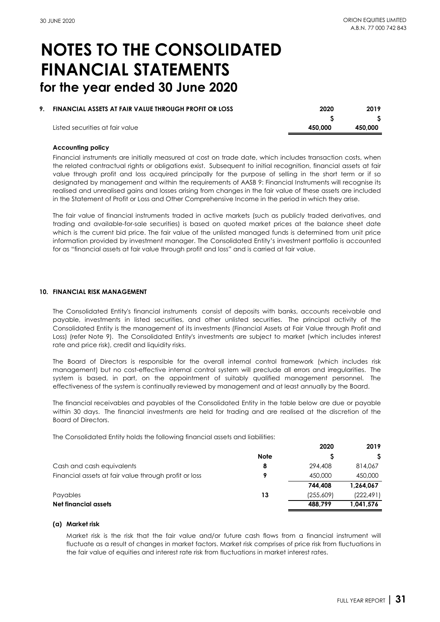| 9. | <b>FINANCIAL ASSETS AT FAIR VALUE THROUGH PROFIT OR LOSS</b> | 2020    | 2019    |
|----|--------------------------------------------------------------|---------|---------|
|    |                                                              |         |         |
|    | Listed securities at fair value                              | 450.000 | 450,000 |

#### **Accounting policy**

Financial instruments are initially measured at cost on trade date, which includes transaction costs, when the related contractual rights or obligations exist. Subsequent to initial recognition, financial assets at fair value through profit and loss acquired principally for the purpose of selling in the short term or if so designated by management and within the requirements of AASB 9: Financial Instruments will recognise its realised and unrealised gains and losses arising from changes in the fair value of these assets are included in the Statement of Profit or Loss and Other Comprehensive Income in the period in which they arise.

The fair value of financial instruments traded in active markets (such as publicly traded derivatives, and trading and available-for-sale securities) is based on quoted market prices at the balance sheet date which is the current bid price. The fair value of the unlisted managed funds is determined from unit price information provided by investment manager. The Consolidated Entity's investment portfolio is accounted for as "financial assets at fair value through profit and loss" and is carried at fair value.

#### **10. FINANCIAL RISK MANAGEMENT**

The Consolidated Entity's financial instruments consist of deposits with banks, accounts receivable and payable, investments in listed securities, and other unlisted securities. The principal activity of the Consolidated Entity is the management of its investments (Financial Assets at Fair Value through Profit and Loss) (refer Note 9). The Consolidated Entity's investments are subject to market (which includes interest rate and price risk), credit and liquidity risks.

The Board of Directors is responsible for the overall internal control framework (which includes risk management) but no cost-effective internal control system will preclude all errors and irregularities. The system is based, in part, on the appointment of suitably qualified management personnel. The effectiveness of the system is continually reviewed by management and at least annually by the Board.

The financial receivables and payables of the Consolidated Entity in the table below are due or payable within 30 days. The financial investments are held for trading and are realised at the discretion of the Board of Directors.

The Consolidated Entity holds the following financial assets and liabilities:

|                                                       |             | 2020      | 2019       |
|-------------------------------------------------------|-------------|-----------|------------|
|                                                       | <b>Note</b> |           |            |
| Cash and cash equivalents                             | 8           | 294,408   | 814,067    |
| Financial assets at fair value through profit or loss | 9           | 450,000   | 450,000    |
|                                                       |             | 744.408   | 1,264,067  |
| Pavables                                              | 13          | (255,609) | (222, 491) |
| Net financial assets                                  |             | 488.799   | 1.041.576  |

#### **(a) Market risk**

Market risk is the risk that the fair value and/or future cash flows from a financial instrument will fluctuate as a result of changes in market factors. Market risk comprises of price risk from fluctuations in the fair value of equities and interest rate risk from fluctuations in market interest rates.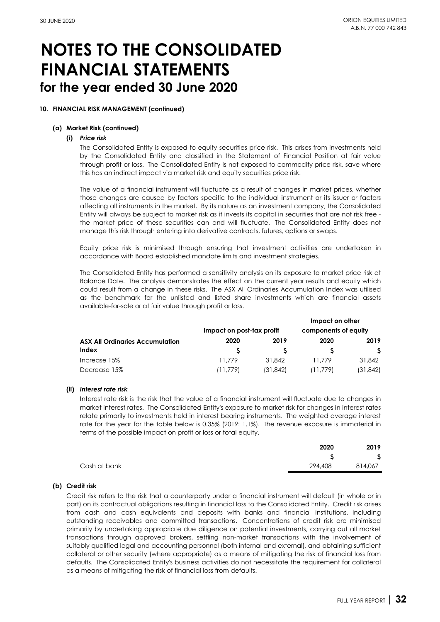#### **10. FINANCIAL RISK MANAGEMENT (continued)**

#### **(a) Market Risk (continued)**

#### **(i)** *Price risk*

The Consolidated Entity is exposed to equity securities price risk. This arises from investments held by the Consolidated Entity and classified in the Statement of Financial Position at fair value through profit or loss. The Consolidated Entity is not exposed to commodity price risk, save where this has an indirect impact via market risk and equity securities price risk.

The value of a financial instrument will fluctuate as a result of changes in market prices, whether those changes are caused by factors specific to the individual instrument or its issuer or factors affecting all instruments in the market. By its nature as an investment company, the Consolidated Entity will always be subject to market risk as it invests its capital in securities that are not risk free the market price of these securities can and will fluctuate. The Consolidated Entity does not manage this risk through entering into derivative contracts, futures, options or swaps.

Equity price risk is minimised through ensuring that investment activities are undertaken in accordance with Board established mandate limits and investment strategies.

The Consolidated Entity has performed a sensitivity analysis on its exposure to market price risk at Balance Date. The analysis demonstrates the effect on the current year results and equity which could result from a change in these risks. The ASX All Ordinaries Accumulation Index was utilised as the benchmark for the unlisted and listed share investments which are financial assets available-for-sale or at fair value through profit or loss.

|                                        |                           |           | Impact on other      |          |
|----------------------------------------|---------------------------|-----------|----------------------|----------|
|                                        | Impact on post-tax profit |           | components of equity |          |
| <b>ASX All Ordinaries Accumulation</b> | 2020                      | 2019      | 2020                 | 2019     |
| Index                                  |                           |           |                      |          |
| Increase 15%                           | 11.779                    | 31,842    | 11.779               | 31,842   |
| Decrease 15%                           | (11,779)                  | (31, 842) | (11,779)             | (31,842) |

#### **(ii)** *Interest rate risk*

Interest rate risk is the risk that the value of a financial instrument will fluctuate due to changes in market interest rates. The Consolidated Entity's exposure to market risk for changes in interest rates relate primarily to investments held in interest bearing instruments. The weighted average interest rate for the year for the table below is 0.35% (2019: 1.1%). The revenue exposure is immaterial in terms of the possible impact on profit or loss or total equity.

|              | 2020    | 2019    |
|--------------|---------|---------|
|              | ↩       | S       |
| Cash at bank | 294,408 | 814,067 |

#### **(b) Credit risk**

Credit risk refers to the risk that a counterparty under a financial instrument will default (in whole or in part) on its contractual obligations resulting in financial loss to the Consolidated Entity. Credit risk arises from cash and cash equivalents and deposits with banks and financial institutions, including outstanding receivables and committed transactions. Concentrations of credit risk are minimised primarily by undertaking appropriate due diligence on potential investments, carrying out all market transactions through approved brokers, settling non-market transactions with the involvement of suitably qualified legal and accounting personnel (both internal and external), and obtaining sufficient collateral or other security (where appropriate) as a means of mitigating the risk of financial loss from defaults. The Consolidated Entity's business activities do not necessitate the requirement for collateral as a means of mitigating the risk of financial loss from defaults.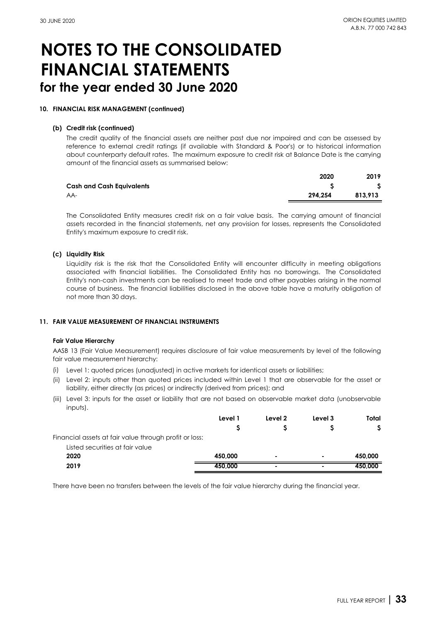#### **10. FINANCIAL RISK MANAGEMENT (continued)**

#### **(b) Credit risk (continued)**

The credit quality of the financial assets are neither past due nor impaired and can be assessed by reference to external credit ratings (if available with Standard & Poor's) or to historical information about counterparty default rates. The maximum exposure to credit risk at Balance Date is the carrying amount of the financial assets as summarised below:

|                                  | 2020    | 2019    |
|----------------------------------|---------|---------|
| <b>Cash and Cash Equivalents</b> |         |         |
| AA-                              | 294.254 | 813.913 |

The Consolidated Entity measures credit risk on a fair value basis. The carrying amount of financial assets recorded in the financial statements, net any provision for losses, represents the Consolidated Entity's maximum exposure to credit risk.

#### **(c) Liquidity Risk**

Liquidity risk is the risk that the Consolidated Entity will encounter difficulty in meeting obligations associated with financial liabilities. The Consolidated Entity has no borrowings. The Consolidated Entity's non-cash investments can be realised to meet trade and other payables arising in the normal course of business. The financial liabilities disclosed in the above table have a maturity obligation of not more than 30 days.

#### **11. FAIR VALUE MEASUREMENT OF FINANCIAL INSTRUMENTS**

#### **Fair Value Hierarchy**

AASB 13 (Fair Value Measurement) requires disclosure of fair value measurements by level of the following fair value measurement hierarchy:

- (i) Level 1: quoted prices (unadjusted) in active markets for identical assets or liabilities;
- (ii) Level 2: inputs other than quoted prices included within Level 1 that are observable for the asset or liability, either directly (as prices) or indirectly (derived from prices); and
- (iii) Level 3: inputs for the asset or liability that are not based on observable market data (unobservable inputs).

|                                                        | Level 1 | Level 2 | Level 3 | Total   |
|--------------------------------------------------------|---------|---------|---------|---------|
|                                                        |         |         |         |         |
| Financial assets at fair value through profit or loss: |         |         |         |         |
| Listed securities at fair value                        |         |         |         |         |
| 2020                                                   | 450.000 | ٠       | ۰       | 450,000 |
| 2019                                                   | 450.000 | ۰       | ۰       | 450.000 |

There have been no transfers between the levels of the fair value hierarchy during the financial year.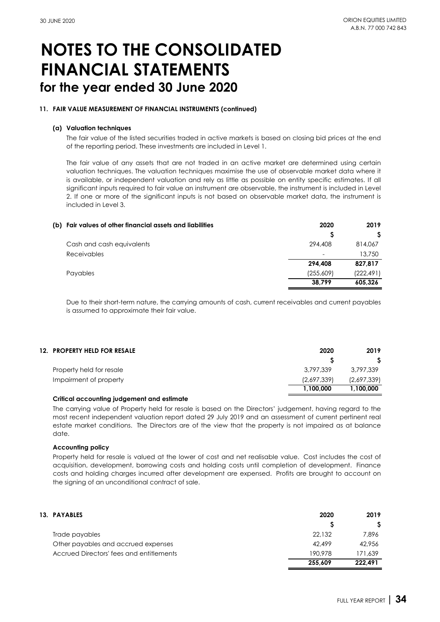#### **11. FAIR VALUE MEASUREMENT OF FINANCIAL INSTRUMENTS (continued)**

#### **(a) Valuation techniques**

The fair value of the listed securities traded in active markets is based on closing bid prices at the end of the reporting period. These investments are included in Level 1.

The fair value of any assets that are not traded in an active market are determined using certain valuation techniques. The valuation techniques maximise the use of observable market data where it is available, or independent valuation and rely as little as possible on entity specific estimates. If all significant inputs required to fair value an instrument are observable, the instrument is included in Level 2. If one or more of the significant inputs is not based on observable market data, the instrument is included in Level 3.

| (b) Fair values of other financial assets and liabilities | 2020      | 2019       |
|-----------------------------------------------------------|-----------|------------|
|                                                           |           |            |
| Cash and cash equivalents                                 | 294.408   | 814,067    |
| Receivables                                               | -         | 13,750     |
|                                                           | 294.408   | 827,817    |
| Payables                                                  | (255,609) | (222, 491) |
|                                                           | 38,799    | 605.326    |

Due to their short-term nature, the carrying amounts of cash, current receivables and current payables is assumed to approximate their fair value.

| 12. PROPERTY HELD FOR RESALE | 2020        | 2019        |
|------------------------------|-------------|-------------|
|                              |             |             |
| Property held for resale     | 3,797,339   | 3.797.339   |
| Impairment of property       | (2,697,339) | (2,697,339) |
|                              | 1.100.000   | 1.100.000   |

#### **Critical accounting judgement and estimate**

The carrying value of Property held for resale is based on the Directors' judgement, having regard to the most recent independent valuation report dated 29 July 2019 and an assessment of current pertinent real estate market conditions. The Directors are of the view that the property is not impaired as at balance date.

#### **Accounting policy**

Property held for resale is valued at the lower of cost and net realisable value. Cost includes the cost of acquisition, development, borrowing costs and holding costs until completion of development. Finance costs and holding charges incurred after development are expensed. Profits are brought to account on the signing of an unconditional contract of sale.

| <b>13. PAYABLES</b>                      | 2020    | 2019    |
|------------------------------------------|---------|---------|
|                                          |         |         |
| Trade payables                           | 22,132  | 7.896   |
| Other payables and accrued expenses      | 42.499  | 42,956  |
| Accrued Directors' fees and entitlements | 190.978 | 171.639 |
|                                          | 255.609 | 222.491 |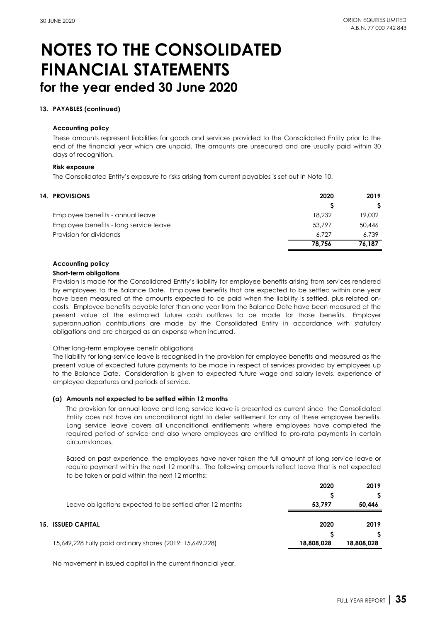#### **13. PAYABLES (continued)**

#### **Accounting policy**

These amounts represent liabilities for goods and services provided to the Consolidated Entity prior to the end of the financial year which are unpaid. The amounts are unsecured and are usually paid within 30 days of recognition.

#### **Risk exposure**

The Consolidated Entity's exposure to risks arising from current payables is set out in Note 10.

| <b>14. PROVISIONS</b>                  | 2020   | 2019   |
|----------------------------------------|--------|--------|
|                                        |        |        |
| Employee benefits - annual leave       | 18,232 | 19,002 |
| Employee benefits - long service leave | 53,797 | 50,446 |
| Provision for dividends                | 6.727  | 6.739  |
|                                        | 78.756 | 76,187 |

#### **Accounting policy**

#### **Short-term obligations**

Provision is made for the Consolidated Entity's liability for employee benefits arising from services rendered by employees to the Balance Date. Employee benefits that are expected to be settled within one year have been measured at the amounts expected to be paid when the liability is settled, plus related oncosts. Employee benefits payable later than one year from the Balance Date have been measured at the present value of the estimated future cash outflows to be made for those benefits. Employer superannuation contributions are made by the Consolidated Entity in accordance with statutory obligations and are charged as an expense when incurred.

#### Other long-term employee benefit obligations

The liability for long-service leave is recognised in the provision for employee benefits and measured as the present value of expected future payments to be made in respect of services provided by employees up to the Balance Date. Consideration is given to expected future wage and salary levels, experience of employee departures and periods of service.

#### **(a) Amounts not expected to be settled within 12 months**

The provision for annual leave and long service leave is presented as current since the Consolidated Entity does not have an unconditional right to defer settlement for any of these employee benefits. Long service leave covers all unconditional entitlements where employees have completed the required period of service and also where employees are entitled to pro-rata payments in certain circumstances.

Based on past experience, the employees have never taken the full amount of long service leave or require payment within the next 12 months. The following amounts reflect leave that is not expected to be taken or paid within the next 12 months:

|                                                          | 2020       | 2019       |
|----------------------------------------------------------|------------|------------|
| Leave obligations expected to be settled after 12 months | 53.797     | 50,446     |
| <b>15. ISSUED CAPITAL</b>                                | 2020       | 2019       |
| 15,649,228 Fully paid ordinary shares (2019: 15,649,228) | 18,808,028 | 18,808,028 |

No movement in issued capital in the current financial year.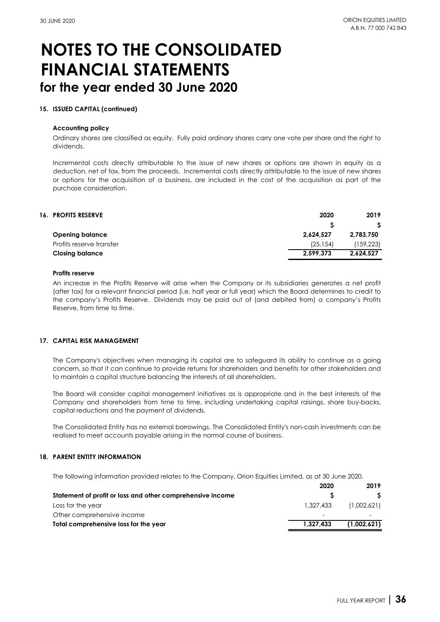#### **15. ISSUED CAPITAL (continued)**

#### **Accounting policy**

Ordinary shares are classified as equity. Fully paid ordinary shares carry one vote per share and the right to dividends.

Incremental costs directly attributable to the issue of new shares or options are shown in equity as a deduction, net of tax, from the proceeds. Incremental costs directly attributable to the issue of new shares or options for the acquisition of a business, are included in the cost of the acquisition as part of the purchase consideration.

| <b>16. PROFITS RESERVE</b> | 2020      | 2019      |
|----------------------------|-----------|-----------|
|                            |           |           |
| <b>Opening balance</b>     | 2.624.527 | 2,783,750 |
| Profits reserve transfer   | (25.154)  | (159,223) |
| <b>Closing balance</b>     | 2.599.373 | 2,624,527 |

#### **Profits reserve**

An increase in the Profits Reserve will arise when the Company or its subsidiaries generates a net profit (after tax) for a relevant financial period (i.e. half year or full year) which the Board determines to credit to the company's Profits Reserve. Dividends may be paid out of (and debited from) a company's Profits Reserve, from time to time.

#### **17. CAPITAL RISK MANAGEMENT**

The Company's objectives when managing its capital are to safeguard its ability to continue as a going concern, so that it can continue to provide returns for shareholders and benefits for other stakeholders and to maintain a capital structure balancing the interests of all shareholders.

The Board will consider capital management initiatives as is appropriate and in the best interests of the Company and shareholders from time to time, including undertaking capital raisings, share buy-backs, capital reductions and the payment of dividends.

The Consolidated Entity has no external borrowings. The Consolidated Entity's non-cash investments can be realised to meet accounts payable arising in the normal course of business.

#### **18. PARENT ENTITY INFORMATION**

The following information provided relates to the Company, Orion Equities Limited, as at 30 June 2020.

|                                                            | 2020      | 2019        |
|------------------------------------------------------------|-----------|-------------|
| Statement of profit or loss and other comprehensive income |           |             |
| Loss for the year                                          | 1.327.433 | (1,002,621) |
| Other comprehensive income                                 |           |             |
| Total comprehensive loss for the year                      | 1.327.433 | (1.002.621) |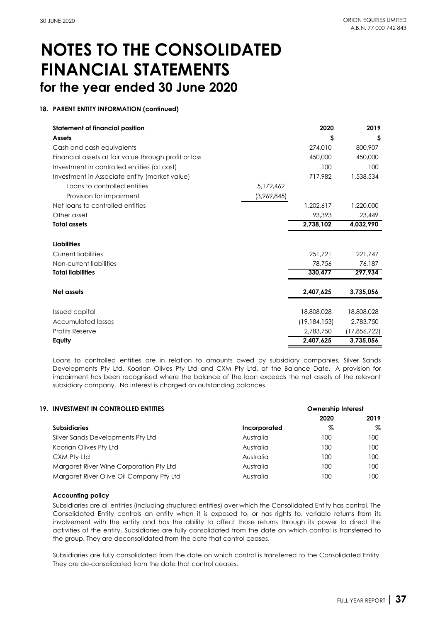### **18. PARENT ENTITY INFORMATION (continued)**

| <b>Statement of financial position</b>                |             | 2020           | 2019           |
|-------------------------------------------------------|-------------|----------------|----------------|
| <b>Assets</b>                                         |             | S              | S              |
| Cash and cash equivalents                             |             | 274,010        | 800,907        |
| Financial assets at fair value through profit or loss |             | 450,000        | 450,000        |
| Investment in controlled entities (at cost)           |             | 100            | 100            |
| Investment in Associate entity (market value)         |             | 717,982        | 1,538,534      |
| Loans to controlled entities                          | 5,172,462   |                |                |
| Provision for impairment                              | (3,969,845) |                |                |
| Net loans to controlled entities                      |             | 1.202.617      | 1,220,000      |
| Other asset                                           |             | 93,393         | 23,449         |
| <b>Total assets</b>                                   |             | 2,738,102      | 4,032,990      |
|                                                       |             |                |                |
| <b>Liabilities</b>                                    |             |                |                |
| <b>Current liabilities</b>                            |             | 251.721        | 221,747        |
| Non-current liabilities                               |             | 78,756         | 76,187         |
| <b>Total liabilities</b>                              |             | 330,477        | 297,934        |
|                                                       |             |                |                |
| Net assets                                            |             | 2,407,625      | 3,735,056      |
|                                                       |             |                |                |
| Issued capital                                        |             | 18,808,028     | 18,808,028     |
| <b>Accumulated losses</b>                             |             | (19, 184, 153) | 2,783,750      |
| <b>Profits Reserve</b>                                |             | 2,783,750      | (17, 856, 722) |
| Equity                                                |             | 2,407,625      | 3,735,056      |

Loans to controlled entities are in relation to amounts owed by subsidiary companies, Silver Sands Developments Pty Ltd, Koorian Olives Pty Ltd and CXM Pty Ltd, at the Balance Date. A provision for impairment has been recognised where the balance of the loan exceeds the net assets of the relevant subsidiary company. No interest is charged on outstanding balances.

|              | <b>Ownership Interest</b> |      |
|--------------|---------------------------|------|
|              | 2020                      | 2019 |
| Incorporated | %                         | Z    |
| Australia    | 100                       | 100  |
| Australia    | 100                       | 100  |
| Australia    | 100                       | 100  |
| Australia    | 100                       | 100  |
| Australia    | 100                       | 100  |
|              |                           |      |

#### **Accounting policy**

Subsidiaries are all entities (including structured entities) over which the Consolidated Entity has control. The Consolidated Entity controls an entity when it is exposed to, or has rights to, variable returns from its involvement with the entity and has the ability to affect those returns through its power to direct the activities of the entity. Subsidiaries are fully consolidated from the date on which control is transferred to the group. They are deconsolidated from the date that control ceases.

Subsidiaries are fully consolidated from the date on which control is transferred to the Consolidated Entity. They are de-consolidated from the date that control ceases.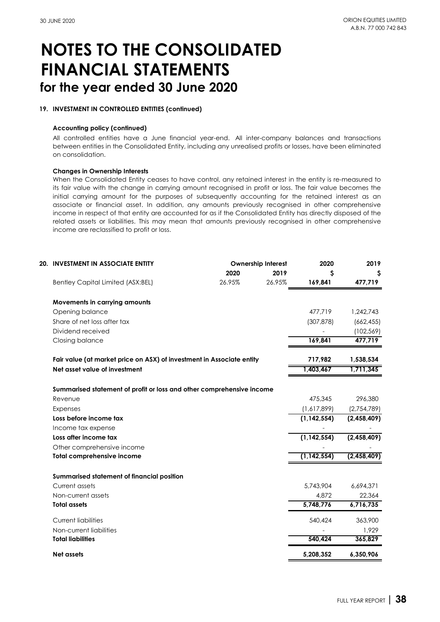#### **19. INVESTMENT IN CONTROLLED ENTITIES (continued)**

#### **Accounting policy (continued)**

All controlled entities have a June financial year-end. All inter-company balances and transactions between entities in the Consolidated Entity, including any unrealised profits or losses, have been eliminated on consolidation.

#### **Changes in Ownership Interests**

When the Consolidated Entity ceases to have control, any retained interest in the entity is re-measured to its fair value with the change in carrying amount recognised in profit or loss. The fair value becomes the initial carrying amount for the purposes of subsequently accounting for the retained interest as an associate or financial asset. In addition, any amounts previously recognised in other comprehensive income in respect of that entity are accounted for as if the Consolidated Entity has directly disposed of the related assets or liabilities. This may mean that amounts previously recognised in other comprehensive income are reclassified to profit or loss.

| <b>20. INVESTMENT IN ASSOCIATE ENTITY</b><br>Ownership Interest       |        | 2020   | 2019          |             |
|-----------------------------------------------------------------------|--------|--------|---------------|-------------|
|                                                                       | 2020   | 2019   | \$            | S           |
| <b>Bentley Capital Limited (ASX:BEL)</b>                              | 26.95% | 26.95% | 169,841       | 477,719     |
| Movements in carrying amounts                                         |        |        |               |             |
| Opening balance                                                       |        |        | 477,719       | 1,242,743   |
| Share of net loss after tax                                           |        |        | (307, 878)    | (662, 455)  |
| Dividend received                                                     |        |        |               | (102, 569)  |
| Closing balance                                                       |        |        | 169,841       | 477,719     |
| Fair value (at market price on ASX) of investment in Associate entity |        |        | 717,982       | 1,538,534   |
| Net asset value of investment                                         |        |        | 1,403,467     | 1,711,345   |
|                                                                       |        |        |               |             |
| Summarised statement of profit or loss and other comprehensive income |        |        |               |             |
| Revenue                                                               |        |        | 475,345       | 296,380     |
| <b>Expenses</b>                                                       |        |        | (1,617,899)   | (2,754,789) |
| Loss before income tax                                                |        |        | (1, 142, 554) | (2,458,409) |
| Income tax expense                                                    |        |        |               |             |
| Loss after income tax                                                 |        |        | (1, 142, 554) | (2,458,409) |
| Other comprehensive income                                            |        |        |               |             |
| <b>Total comprehensive income</b>                                     |        |        | (1, 142, 554) | (2,458,409) |
| Summarised statement of financial position                            |        |        |               |             |
| Current assets                                                        |        |        | 5,743,904     | 6,694,371   |
| Non-current assets                                                    |        |        | 4.872         | 22,364      |
| <b>Total assets</b>                                                   |        |        | 5,748,776     | 6,716,735   |
| <b>Current liabilities</b>                                            |        |        | 540,424       | 363,900     |
| Non-current liabilities                                               |        |        |               | 1,929       |
| <b>Total liabilities</b>                                              |        |        | 540,424       | 365,829     |
| <b>Net assets</b>                                                     |        |        | 5,208,352     | 6,350,906   |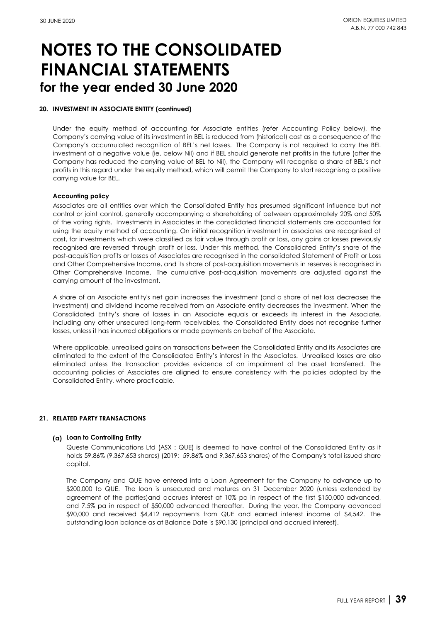#### **20. INVESTMENT IN ASSOCIATE ENTITY (continued)**

Under the equity method of accounting for Associate entities (refer Accounting Policy below), the Company's carrying value of its investment in BEL is reduced from (historical) cost as a consequence of the Company's accumulated recognition of BEL's net losses. The Company is not required to carry the BEL investment at a negative value (ie. below Nil) and if BEL should generate net profits in the future (after the Company has reduced the carrying value of BEL to Nil), the Company will recognise a share of BEL's net profits in this regard under the equity method, which will permit the Company to start recognisng a positive carrying value for BEL.

#### **Accounting policy**

Associates are all entities over which the Consolidated Entity has presumed significant influence but not control or joint control, generally accompanying a shareholding of between approximately 20% and 50% of the voting rights. Investments in Associates in the consolidated financial statements are accounted for using the equity method of accounting. On initial recognition investment in associates are recognised at cost, for investments which were classified as fair value through profit or loss, any gains or losses previously recognised are reversed through profit or loss. Under this method, the Consolidated Entity's share of the post-acquisition profits or losses of Associates are recognised in the consolidated Statement of Profit or Loss and Other Comprehensive Income, and its share of post-acquisition movements in reserves is recognised in Other Comprehensive Income. The cumulative post-acquisition movements are adjusted against the carrying amount of the investment.

A share of an Associate entity's net gain increases the investment (and a share of net loss decreases the investment) and dividend income received from an Associate entity decreases the investment. When the Consolidated Entity's share of losses in an Associate equals or exceeds its interest in the Associate, including any other unsecured long-term receivables, the Consolidated Entity does not recognise further losses, unless it has incurred obligations or made payments on behalf of the Associate.

Where applicable, unrealised gains on transactions between the Consolidated Entity and its Associates are eliminated to the extent of the Consolidated Entity's interest in the Associates. Unrealised losses are also eliminated unless the transaction provides evidence of an impairment of the asset transferred. The accounting policies of Associates are aligned to ensure consistency with the policies adopted by the Consolidated Entity, where practicable.

#### **21. RELATED PARTY TRANSACTIONS**

#### **(a) Loan to Controlling Entity**

Queste Communications Ltd (ASX : QUE) is deemed to have control of the Consolidated Entity as it holds 59.86% (9,367,653 shares) (2019: 59.86% and 9,367,653 shares) of the Company's total issued share capital.

The Company and QUE have entered into a Loan Agreement for the Company to advance up to \$200,000 to QUE. The loan is unsecured and matures on 31 December 2020 (unless extended by agreement of the parties)and accrues interest at 10% pa in respect of the first \$150,000 advanced, and 7.5% pa in respect of \$50,000 advanced thereafter. During the year, the Company advanced \$90,000 and received \$4,412 repayments from QUE and earned interest income of \$4,542. The outstanding loan balance as at Balance Date is \$90,130 (principal and accrued interest).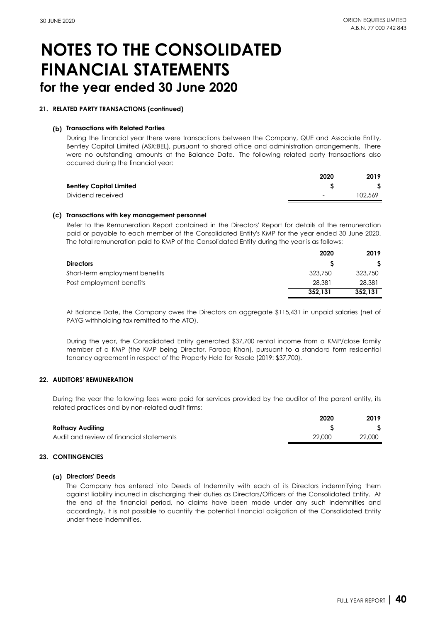#### **21. RELATED PARTY TRANSACTIONS (continued)**

#### **(b) Transactions with Related Parties**

During the financial year there were transactions between the Company, QUE and Associate Entity, Bentley Capital Limited (ASX:BEL), pursuant to shared office and administration arrangements. There were no outstanding amounts at the Balance Date. The following related party transactions also occurred during the financial year:

|                                | 2020   | 2019    |
|--------------------------------|--------|---------|
| <b>Bentley Capital Limited</b> |        |         |
| Dividend received              | $\sim$ | 102.569 |

#### **(c) Transactions with key management personnel**

Refer to the Remuneration Report contained in the Directors' Report for details of the remuneration paid or payable to each member of the Consolidated Entity's KMP for the year ended 30 June 2020. The total remuneration paid to KMP of the Consolidated Entity during the year is as follows:

|                                | 2020    | 2019    |
|--------------------------------|---------|---------|
| <b>Directors</b>               |         |         |
| Short-term employment benefits | 323,750 | 323,750 |
| Post employment benefits       | 28,381  | 28,381  |
|                                | 352.131 | 352.131 |

At Balance Date, the Company owes the Directors an aggregate \$115,431 in unpaid salaries (net of PAYG withholding tax remitted to the ATO).

During the year, the Consolidated Entity generated \$37,700 rental income from a KMP/close family member of a KMP (the KMP being Director, Farooq Khan), pursuant to a standard form residential tenancy agreement in respect of the Property Held for Resale (2019: \$37,700).

#### **22. AUDITORS' REMUNERATION**

During the year the following fees were paid for services provided by the auditor of the parent entity, its related practices and by non-related audit firms:

|                                          | 2020   | 2019   |
|------------------------------------------|--------|--------|
| Rothsay Auditing                         |        |        |
| Audit and review of financial statements | 22,000 | 22,000 |

#### **23. CONTINGENCIES**

#### **(a) Directors' Deeds**

The Company has entered into Deeds of Indemnity with each of its Directors indemnifying them against liability incurred in discharging their duties as Directors/Officers of the Consolidated Entity. At the end of the financial period, no claims have been made under any such indemnities and accordingly, it is not possible to quantify the potential financial obligation of the Consolidated Entity under these indemnities.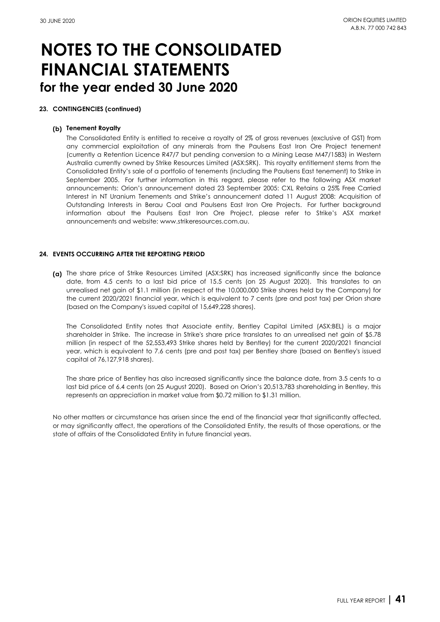#### **23. CONTINGENCIES (continued)**

#### **(b) Tenement Royalty**

The Consolidated Entity is entitled to receive a royalty of 2% of gross revenues (exclusive of GST) from any commercial exploitation of any minerals from the Paulsens East Iron Ore Project tenement (currently a Retention Licence R47/7 but pending conversion to a Mining Lease M47/1583) in Western Australia currently owned by Strike Resources Limited (ASX:SRK). This royalty entitlement stems from the Consolidated Entity's sale of a portfolio of tenements (including the Paulsens East tenement) to Strike in September 2005. For further information in this regard, please refer to the following ASX market announcements: Orion's announcement dated 23 September 2005: CXL Retains a 25% Free Carried Interest in NT Uranium Tenements and Strike's announcement dated 11 August 2008: Acquisition of Outstanding Interests in Berau Coal and Paulsens East Iron Ore Projects. For further background information about the Paulsens East Iron Ore Project, please refer to Strike's ASX market announcements and website: www.strikeresources.com.au.

#### **24. EVENTS OCCURRING AFTER THE REPORTING PERIOD**

**(a)** The share price of Strike Resources Limited (ASX:SRK) has increased significantly since the balance date, from 4.5 cents to a last bid price of 15.5 cents (on 25 August 2020). This translates to an unrealised net gain of \$1.1 million (in respect of the 10,000,000 Strike shares held by the Company) for the current 2020/2021 financial year, which is equivalent to 7 cents (pre and post tax) per Orion share (based on the Company's issued capital of 15,649,228 shares).

The Consolidated Entity notes that Associate entity, Bentley Capital Limited (ASX:BEL) is a major shareholder in Strike. The increase in Strike's share price translates to an unrealised net gain of \$5.78 million (in respect of the 52,553,493 Strike shares held by Bentley) for the current 2020/2021 financial year, which is equivalent to 7.6 cents (pre and post tax) per Bentley share (based on Bentley's issued capital of 76,127,918 shares).

The share price of Bentley has also increased significantly since the balance date, from 3.5 cents to a last bid price of 6.4 cents (on 25 August 2020). Based on Orion's 20,513,783 shareholding in Bentley, this represents an appreciation in market value from \$0.72 million to \$1.31 million.

No other matters or circumstance has arisen since the end of the financial year that significantly affected, or may significantly affect, the operations of the Consolidated Entity, the results of those operations, or the state of affairs of the Consolidated Entity in future financial years.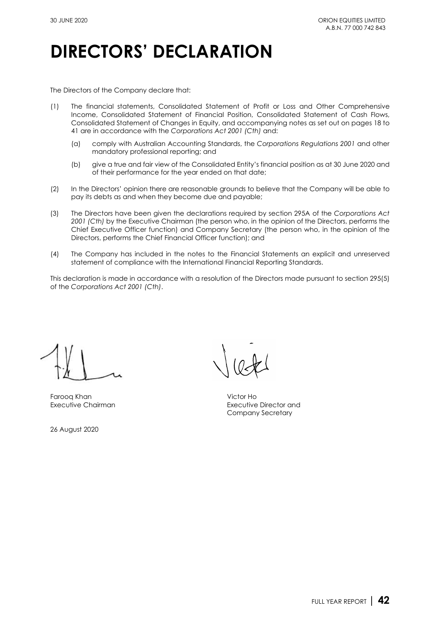## **DIRECTORS' DECLARATION**

The Directors of the Company declare that:

- (1) The financial statements, Consolidated Statement of Profit or Loss and Other Comprehensive Income, Consolidated Statement of Financial Position, Consolidated Statement of Cash Flows, Consolidated Statement of Changes in Equity, and accompanying notes as set out on pages 18 to 41 are in accordance with the *Corporations Act 2001 (Cth)* and:
	- (a) comply with Australian Accounting Standards, the *Corporations Regulations 2001* and other mandatory professional reporting; and
	- (b) give a true and fair view of the Consolidated Entity's financial position as at 30 June 2020 and of their performance for the year ended on that date;
- (2) In the Directors' opinion there are reasonable grounds to believe that the Company will be able to pay its debts as and when they become due and payable;
- (3) The Directors have been given the declarations required by [section 295A](http://www.austlii.edu.au/au/legis/cth/consol_act/ca2001172/s295a.html) of the *Corporations Act 2001 (Cth)* by the Executive Chairman (the person who, in the opinion of the Directors, performs the Chief Executive Officer function) and Company Secretary (the person who, in the opinion of the Directors, performs the Chief Financial Officer function); and
- (4) The Company has included in the notes to the Financial Statements an explicit and unreserved statement of compliance with the International Financial Reporting Standards.

This declaration is made in accordance with a resolution of the Directors made pursuant to [section 295\(5\)](http://www.austlii.edu.au/au/legis/cth/consol_act/ca2001172/s295.html) of the *Corporations Act 2001 (Cth)*.

Farooq Khan Victor Ho

26 August 2020

Executive Chairman Executive Director and Company Secretary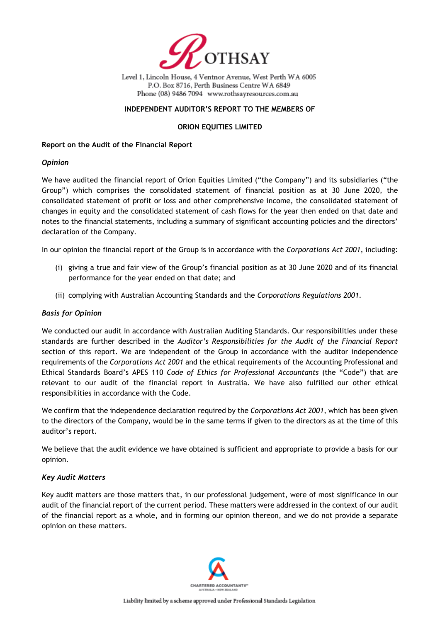

Level 1, Lincoln House, 4 Ventnor Avenue, West Perth WA 6005 P.O. Box 8716, Perth Business Centre WA 6849 Phone (08) 9486 7094 www.rothsayresources.com.au

### **INDEPENDENT AUDITOR'S REPORT TO THE MEMBERS OF**

### **ORION EQUITIES LIMITED**

#### **Report on the Audit of the Financial Report**

### *Opinion*

We have audited the financial report of Orion Equities Limited ("the Company") and its subsidiaries ("the Group") which comprises the consolidated statement of financial position as at 30 June 2020, the consolidated statement of profit or loss and other comprehensive income, the consolidated statement of changes in equity and the consolidated statement of cash flows for the year then ended on that date and notes to the financial statements, including a summary of significant accounting policies and the directors' declaration of the Company.

In our opinion the financial report of the Group is in accordance with the *Corporations Act 2001*, including:

- (i) giving a true and fair view of the Group's financial position as at 30 June 2020 and of its financial performance for the year ended on that date; and
- (ii) complying with Australian Accounting Standards and the *Corporations Regulations 2001*.

### *Basis for Opinion*

We conducted our audit in accordance with Australian Auditing Standards. Our responsibilities under these standards are further described in the *Auditor's Responsibilities for the Audit of the Financial Report* section of this report. We are independent of the Group in accordance with the auditor independence requirements of the *Corporations Act 2001* and the ethical requirements of the Accounting Professional and Ethical Standards Board's APES 110 *Code of Ethics for Professional Accountants* (the "Code") that are relevant to our audit of the financial report in Australia. We have also fulfilled our other ethical responsibilities in accordance with the Code.

We confirm that the independence declaration required by the *Corporations Act 2001*, which has been given to the directors of the Company, would be in the same terms if given to the directors as at the time of this auditor's report.

We believe that the audit evidence we have obtained is sufficient and appropriate to provide a basis for our opinion.

### *Key Audit Matters*

Key audit matters are those matters that, in our professional judgement, were of most significance in our audit of the financial report of the current period. These matters were addressed in the context of our audit of the financial report as a whole, and in forming our opinion thereon, and we do not provide a separate opinion on these matters.

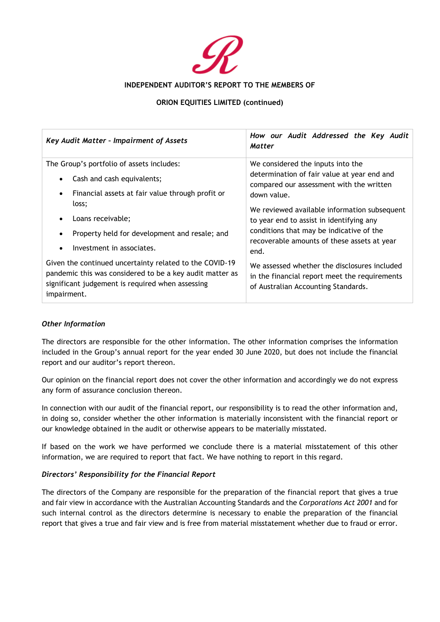

### **INDEPENDENT AUDITOR'S REPORT TO THE MEMBERS OF**

### **ORION EQUITIES LIMITED (continued)**

| Key Audit Matter - Impairment of Assets                                                                                                                                                | How our Audit Addressed the Key Audit<br>Matter                                                                                      |  |  |
|----------------------------------------------------------------------------------------------------------------------------------------------------------------------------------------|--------------------------------------------------------------------------------------------------------------------------------------|--|--|
| The Group's portfolio of assets includes:                                                                                                                                              | We considered the inputs into the                                                                                                    |  |  |
| Cash and cash equivalents;<br>$\bullet$                                                                                                                                                | determination of fair value at year end and<br>compared our assessment with the written                                              |  |  |
| Financial assets at fair value through profit or<br>$\bullet$                                                                                                                          | down value.                                                                                                                          |  |  |
| loss;                                                                                                                                                                                  | We reviewed available information subsequent                                                                                         |  |  |
| Loans receivable;<br>$\bullet$                                                                                                                                                         | to year end to assist in identifying any<br>conditions that may be indicative of the                                                 |  |  |
| Property held for development and resale; and<br>$\bullet$                                                                                                                             |                                                                                                                                      |  |  |
| Investment in associates.<br>$\bullet$                                                                                                                                                 | recoverable amounts of these assets at year<br>end.                                                                                  |  |  |
| Given the continued uncertainty related to the COVID-19<br>pandemic this was considered to be a key audit matter as<br>significant judgement is required when assessing<br>impairment. | We assessed whether the disclosures included<br>in the financial report meet the requirements<br>of Australian Accounting Standards. |  |  |

### *Other Information*

The directors are responsible for the other information. The other information comprises the information included in the Group's annual report for the year ended 30 June 2020, but does not include the financial report and our auditor's report thereon.

Our opinion on the financial report does not cover the other information and accordingly we do not express any form of assurance conclusion thereon.

In connection with our audit of the financial report, our responsibility is to read the other information and, in doing so, consider whether the other information is materially inconsistent with the financial report or our knowledge obtained in the audit or otherwise appears to be materially misstated.

If based on the work we have performed we conclude there is a material misstatement of this other information, we are required to report that fact. We have nothing to report in this regard.

### *Directors' Responsibility for the Financial Report*

The directors of the Company are responsible for the preparation of the financial report that gives a true and fair view in accordance with the Australian Accounting Standards and the *Corporations Act 2001* and for such internal control as the directors determine is necessary to enable the preparation of the financial report that gives a true and fair view and is free from material misstatement whether due to fraud or error.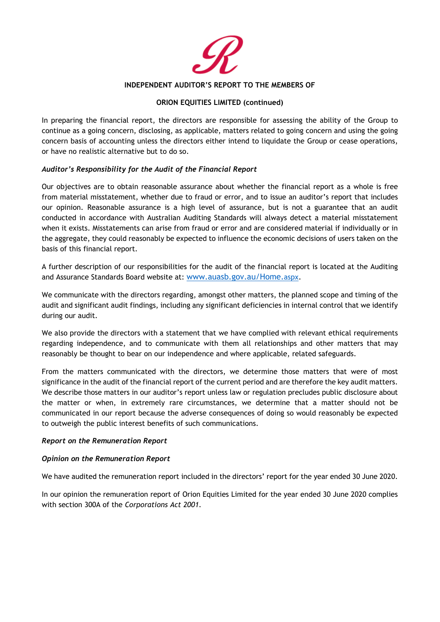

#### **INDEPENDENT AUDITOR'S REPORT TO THE MEMBERS OF**

### **ORION EQUITIES LIMITED (continued)**

In preparing the financial report, the directors are responsible for assessing the ability of the Group to continue as a going concern, disclosing, as applicable, matters related to going concern and using the going concern basis of accounting unless the directors either intend to liquidate the Group or cease operations, or have no realistic alternative but to do so.

### *Auditor's Responsibility for the Audit of the Financial Report*

Our objectives are to obtain reasonable assurance about whether the financial report as a whole is free from material misstatement, whether due to fraud or error, and to issue an auditor's report that includes our opinion. Reasonable assurance is a high level of assurance, but is not a guarantee that an audit conducted in accordance with Australian Auditing Standards will always detect a material misstatement when it exists. Misstatements can arise from fraud or error and are considered material if individually or in the aggregate, they could reasonably be expected to influence the economic decisions of users taken on the basis of this financial report.

A further description of our responsibilities for the audit of the financial report is located at the Auditing and Assurance Standards Board website at: www.auasb.gov.au/Home.aspx.

We communicate with the directors regarding, amongst other matters, the planned scope and timing of the audit and significant audit findings, including any significant deficiencies in internal control that we identify during our audit.

We also provide the directors with a statement that we have complied with relevant ethical requirements regarding independence, and to communicate with them all relationships and other matters that may reasonably be thought to bear on our independence and where applicable, related safeguards.

From the matters communicated with the directors, we determine those matters that were of most significance in the audit of the financial report of the current period and are therefore the key audit matters. We describe those matters in our auditor's report unless law or regulation precludes public disclosure about the matter or when, in extremely rare circumstances, we determine that a matter should not be communicated in our report because the adverse consequences of doing so would reasonably be expected to outweigh the public interest benefits of such communications.

#### *Report on the Remuneration Report*

#### *Opinion on the Remuneration Report*

We have audited the remuneration report included in the directors' report for the year ended 30 June 2020.

In our opinion the remuneration report of Orion Equities Limited for the year ended 30 June 2020 complies with section 300A of the *Corporations Act 2001*.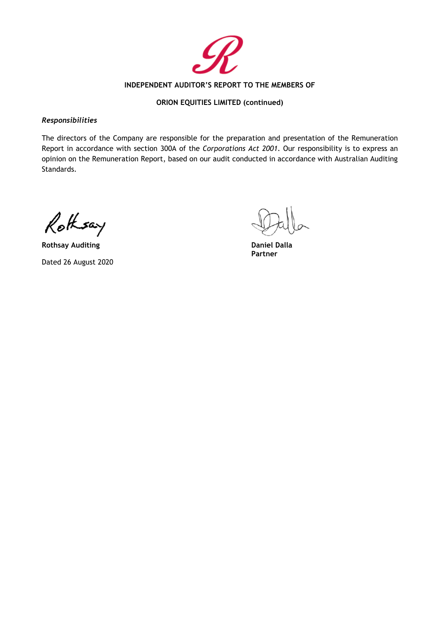

### **INDEPENDENT AUDITOR'S REPORT TO THE MEMBERS OF**

### **ORION EQUITIES LIMITED (continued)**

#### *Responsibilities*

The directors of the Company are responsible for the preparation and presentation of the Remuneration Report in accordance with section 300A of the *Corporations Act 2001*. Our responsibility is to express an opinion on the Remuneration Report, based on our audit conducted in accordance with Australian Auditing Standards.

Rothsay

**Rothsay Auditing Daniel Dalla** Dated 26 August 2020

**Partner**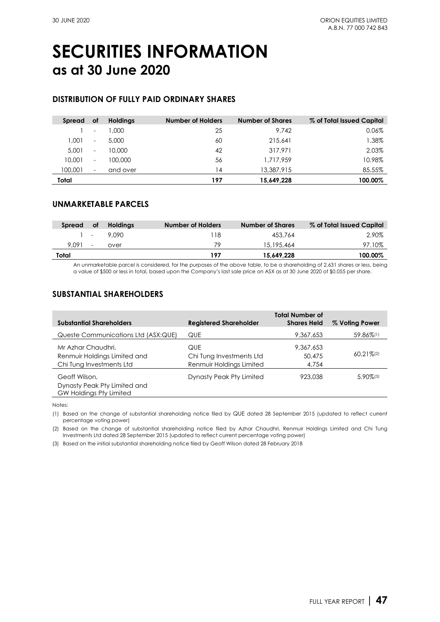## **SECURITIES INFORMATION as at 30 June 2020**

### **DISTRIBUTION OF FULLY PAID ORDINARY SHARES**

| Spread  | оf                       | <b>Holdings</b> | <b>Number of Holders</b> | <b>Number of Shares</b> | % of Total Issued Capital |
|---------|--------------------------|-----------------|--------------------------|-------------------------|---------------------------|
|         | $\overline{\phantom{a}}$ | 1.000           | 25                       | 9.742                   | 0.06%                     |
| 1.001   | $\overline{\phantom{a}}$ | 5,000           | 60                       | 215,641                 | $1.38\%$                  |
| 5.001   | $\overline{\phantom{a}}$ | 10,000          | 42                       | 317.971                 | 2.03%                     |
| 10,001  | $\overline{\phantom{a}}$ | 100,000         | 56                       | 1,717,959               | 10.98%                    |
| 100,001 | $\overline{\phantom{a}}$ | and over        | 14                       | 13,387,915              | 85.55%                    |
| Total   |                          |                 | 197                      | 15,649,228              | 100.00%                   |

### **UNMARKETABLE PARCELS**

| Spread | оf                       | <b>Holdings</b> | Number of Holders | <b>Number of Shares</b> | % of Total Issued Capital |
|--------|--------------------------|-----------------|-------------------|-------------------------|---------------------------|
|        |                          | $1 - 9.090$     | 118               | 453.764                 | 2.90%                     |
| 9.091  | $\overline{\phantom{a}}$ | over            | 79                | 15,195,464              | 97.10%                    |
| Total  |                          |                 | 197               | 15.649.228              | 100.00%                   |

An unmarketable parcel is considered, for the purposes of the above table, to be a shareholding of 2,631 shares or less, being a value of \$500 or less in total, based upon the Company's last sale price on ASX as at 30 June 2020 of \$0.055 per share.

### **SUBSTANTIAL SHAREHOLDERS**

| <b>Substantial Shareholders</b>                                                | <b>Registered Shareholder</b>                               | <b>Total Number of</b><br><b>Shares Held</b> | % Voting Power           |
|--------------------------------------------------------------------------------|-------------------------------------------------------------|----------------------------------------------|--------------------------|
| Queste Communications Ltd (ASX:QUE)                                            | QUE                                                         | 9,367,653                                    | 59.86%(1)                |
| Mr Azhar Chaudhri,<br>Renmuir Holdings Limited and<br>Chi Tung Investments Ltd | QUE<br>Chi Tung Investments Ltd<br>Renmuir Holdings Limited | 9.367.653<br>50,475<br>4,754                 | $60.21\%$ <sup>(2)</sup> |
| Geoff Wilson,<br>Dynasty Peak Pty Limited and<br>GW Holdings Pty Limited       | Dynasty Peak Pty Limited                                    | 923,038                                      | $5.90\%$ <sup>(3)</sup>  |

Notes:

(1) Based on the change of substantial shareholding notice filed by [QUE](http://www.asx.com.au/asx/share-price-research/company/QUE) dated [28 September 2015](https://www.asx.com.au/asx/statistics/displayAnnouncement.do?display=pdf&idsId=01665766) (updated to reflect current percentage voting power)

(2) Based on the change of substantial shareholding notice filed by Azhar Chaudhri, Renmuir Holdings Limited and Chi Tung Investments Ltd date[d 28 September 2015](https://www.asx.com.au/asxpdf/20150929/pdf/431ncvb56zb431.pdf) (updated to reflect current percentage voting power)

(3) Based on the initial substantial shareholding notice filed by Geoff Wilson date[d 28 February 2018](https://www.asx.com.au/asx/statistics/displayAnnouncement.do?display=pdf&idsId=01956271)